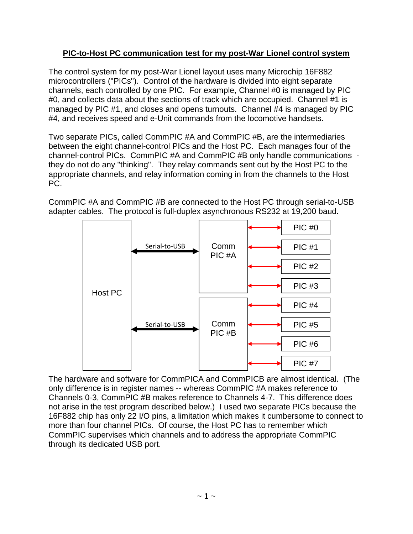## **PIC-to-Host PC communication test for my post-War Lionel control system**

The control system for my post-War Lionel layout uses many Microchip 16F882 microcontrollers ("PICs"). Control of the hardware is divided into eight separate channels, each controlled by one PIC. For example, Channel #0 is managed by PIC #0, and collects data about the sections of track which are occupied. Channel #1 is managed by PIC #1, and closes and opens turnouts. Channel #4 is managed by PIC #4, and receives speed and e-Unit commands from the locomotive handsets.

Two separate PICs, called CommPIC #A and CommPIC #B, are the intermediaries between the eight channel-control PICs and the Host PC. Each manages four of the channel-control PICs. CommPIC #A and CommPIC #B only handle communications they do not do any "thinking". They relay commands sent out by the Host PC to the appropriate channels, and relay information coming in from the channels to the Host PC.

CommPIC #A and CommPIC #B are connected to the Host PC through serial-to-USB adapter cables. The protocol is full-duplex asynchronous RS232 at 19,200 baud.



The hardware and software for CommPICA and CommPICB are almost identical. (The only difference is in register names -- whereas CommPIC #A makes reference to Channels 0-3, CommPIC #B makes reference to Channels 4-7. This difference does not arise in the test program described below.) I used two separate PICs because the 16F882 chip has only 22 I/O pins, a limitation which makes it cumbersome to connect to more than four channel PICs. Of course, the Host PC has to remember which CommPIC supervises which channels and to address the appropriate CommPIC through its dedicated USB port.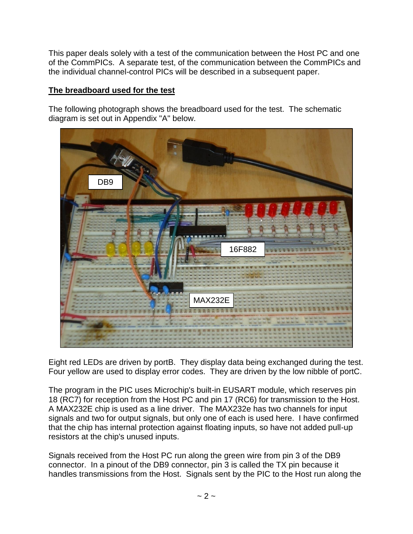This paper deals solely with a test of the communication between the Host PC and one of the CommPICs. A separate test, of the communication between the CommPICs and the individual channel-control PICs will be described in a subsequent paper.

## **The breadboard used for the test**

The following photograph shows the breadboard used for the test. The schematic diagram is set out in Appendix "A" below.



Eight red LEDs are driven by portB. They display data being exchanged during the test. Four yellow are used to display error codes. They are driven by the low nibble of portC.

The program in the PIC uses Microchip's built-in EUSART module, which reserves pin 18 (RC7) for reception from the Host PC and pin 17 (RC6) for transmission to the Host. A MAX232E chip is used as a line driver. The MAX232e has two channels for input signals and two for output signals, but only one of each is used here. I have confirmed that the chip has internal protection against floating inputs, so have not added pull-up resistors at the chip's unused inputs.

Signals received from the Host PC run along the green wire from pin 3 of the DB9 connector. In a pinout of the DB9 connector, pin  $\tilde{3}$  is called the TX pin because it handles transmissions from the Host. Signals sent by the PIC to the Host run along the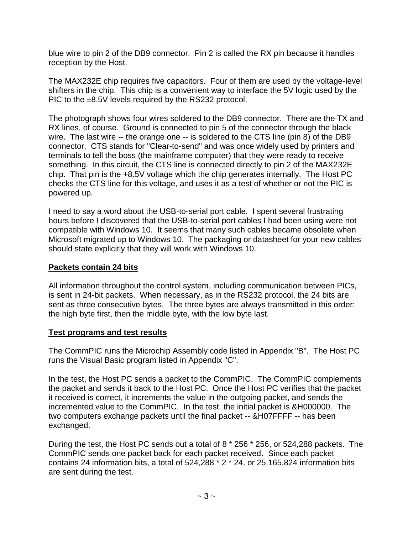blue wire to pin 2 of the DB9 connector. Pin 2 is called the RX pin because it handles reception by the Host.

The MAX232E chip requires five capacitors. Four of them are used by the voltage-level shifters in the chip. This chip is a convenient way to interface the 5V logic used by the PIC to the ±8.5V levels required by the RS232 protocol.

The photograph shows four wires soldered to the DB9 connector. There are the TX and RX lines, of course. Ground is connected to pin 5 of the connector through the black wire. The last wire -- the orange one -- is soldered to the CTS line (pin 8) of the DB9 connector. CTS stands for "Clear-to-send" and was once widely used by printers and terminals to tell the boss (the mainframe computer) that they were ready to receive something. In this circuit, the CTS line is connected directly to pin 2 of the MAX232E chip. That pin is the +8.5V voltage which the chip generates internally. The Host PC checks the CTS line for this voltage, and uses it as a test of whether or not the PIC is powered up.

I need to say a word about the USB-to-serial port cable. I spent several frustrating hours before I discovered that the USB-to-serial port cables I had been using were not compatible with Windows 10. It seems that many such cables became obsolete when Microsoft migrated up to Windows 10. The packaging or datasheet for your new cables should state explicitly that they will work with Windows 10.

### **Packets contain 24 bits**

All information throughout the control system, including communication between PICs, is sent in 24-bit packets. When necessary, as in the RS232 protocol, the 24 bits are sent as three consecutive bytes. The three bytes are always transmitted in this order: the high byte first, then the middle byte, with the low byte last.

### **Test programs and test results**

The CommPIC runs the Microchip Assembly code listed in Appendix "B". The Host PC runs the Visual Basic program listed in Appendix "C".

In the test, the Host PC sends a packet to the CommPIC. The CommPIC complements the packet and sends it back to the Host PC. Once the Host PC verifies that the packet it received is correct, it increments the value in the outgoing packet, and sends the incremented value to the CommPIC. In the test, the initial packet is &H000000. The two computers exchange packets until the final packet -- &H07FFFF -- has been exchanged.

During the test, the Host PC sends out a total of 8 \* 256 \* 256, or 524,288 packets. The CommPIC sends one packet back for each packet received. Since each packet contains 24 information bits, a total of 524,288 \* 2 \* 24, or 25,165,824 information bits are sent during the test.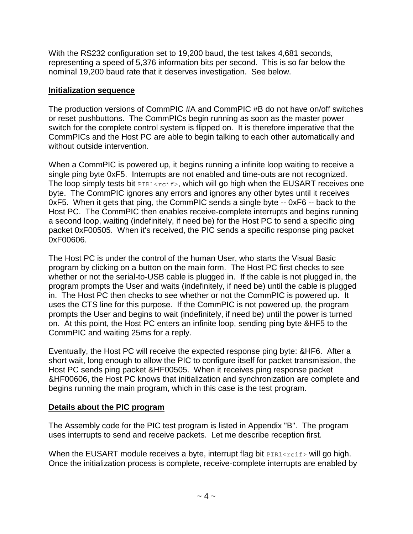With the RS232 configuration set to 19,200 baud, the test takes 4,681 seconds, representing a speed of 5,376 information bits per second. This is so far below the nominal 19,200 baud rate that it deserves investigation. See below.

### **Initialization sequence**

The production versions of CommPIC #A and CommPIC #B do not have on/off switches or reset pushbuttons. The CommPICs begin running as soon as the master power switch for the complete control system is flipped on. It is therefore imperative that the CommPICs and the Host PC are able to begin talking to each other automatically and without outside intervention.

When a CommPIC is powered up, it begins running a infinite loop waiting to receive a single ping byte 0xF5. Interrupts are not enabled and time-outs are not recognized. The loop simply tests bit  $PIR1 < rcf$ , which will go high when the EUSART receives one byte. The CommPIC ignores any errors and ignores any other bytes until it receives 0xF5. When it gets that ping, the CommPIC sends a single byte -- 0xF6 -- back to the Host PC. The CommPIC then enables receive-complete interrupts and begins running a second loop, waiting (indefinitely, if need be) for the Host PC to send a specific ping packet 0xF00505. When it's received, the PIC sends a specific response ping packet 0xF00606.

The Host PC is under the control of the human User, who starts the Visual Basic program by clicking on a button on the main form. The Host PC first checks to see whether or not the serial-to-USB cable is plugged in. If the cable is not plugged in, the program prompts the User and waits (indefinitely, if need be) until the cable is plugged in. The Host PC then checks to see whether or not the CommPIC is powered up. It uses the CTS line for this purpose. If the CommPIC is not powered up, the program prompts the User and begins to wait (indefinitely, if need be) until the power is turned on. At this point, the Host PC enters an infinite loop, sending ping byte &HF5 to the CommPIC and waiting 25ms for a reply.

Eventually, the Host PC will receive the expected response ping byte: &HF6. After a short wait, long enough to allow the PIC to configure itself for packet transmission, the Host PC sends ping packet &HF00505. When it receives ping response packet &HF00606, the Host PC knows that initialization and synchronization are complete and begins running the main program, which in this case is the test program.

### **Details about the PIC program**

The Assembly code for the PIC test program is listed in Appendix "B". The program uses interrupts to send and receive packets. Let me describe reception first.

When the EUSART module receives a byte, interrupt flag bit  $PIRI < rcf$  will go high. Once the initialization process is complete, receive-complete interrupts are enabled by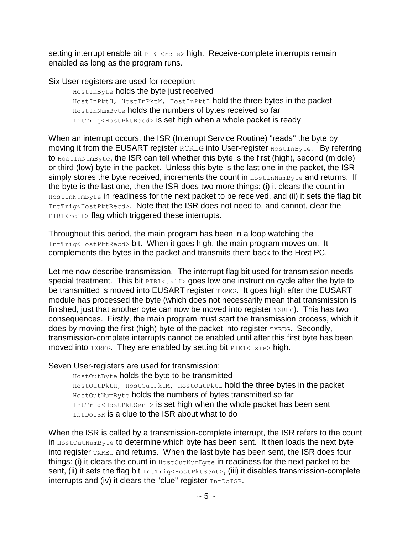setting interrupt enable bit PIE1<rcie> high. Receive-complete interrupts remain enabled as long as the program runs.

Six User-registers are used for reception:

HostInByte holds the byte just received HostInPktH, HostInPktM, HostInPktL hold the three bytes in the packet HostInNumByte holds the numbers of bytes received so far IntTrig<HostPktRecd> is set high when a whole packet is ready

When an interrupt occurs, the ISR (Interrupt Service Routine) "reads" the byte by moving it from the EUSART register RCREG into User-register HostInByte. By referring to HostInNumByte, the ISR can tell whether this byte is the first (high), second (middle) or third (low) byte in the packet. Unless this byte is the last one in the packet, the ISR simply stores the byte received, increments the count in HostInNumByte and returns. If the byte is the last one, then the ISR does two more things: (i) it clears the count in HostInNumByte in readiness for the next packet to be received, and (ii) it sets the flag bit IntTrig<HostPktRecd>. Note that the ISR does not need to, and cannot, clear the PIR1<rcif> flag which triggered these interrupts.

Throughout this period, the main program has been in a loop watching the IntTrig<HostPktRecd> bit. When it goes high, the main program moves on. It complements the bytes in the packet and transmits them back to the Host PC.

Let me now describe transmission. The interrupt flag bit used for transmission needs special treatment. This bit  $PIR1 \leq txif>goes$  low one instruction cycle after the byte to be transmitted is moved into EUSART register TXREG. It goes high after the EUSART module has processed the byte (which does not necessarily mean that transmission is finished, just that another byte can now be moved into register  $TXREG$ ). This has two consequences. Firstly, the main program must start the transmission process, which it does by moving the first (high) byte of the packet into register TXREG. Secondly, transmission-complete interrupts cannot be enabled until after this first byte has been moved into TXREG. They are enabled by setting bit PIE1<txie> high.

Seven User-registers are used for transmission:

HostOutByte holds the byte to be transmitted HostOutPktH, HostOutPktM, HostOutPktL hold the three bytes in the packet HostOutNumByte holds the numbers of bytes transmitted so far IntTrig<HostPktSent> is set high when the whole packet has been sent IntDoISR is a clue to the ISR about what to do

When the ISR is called by a transmission-complete interrupt, the ISR refers to the count in HostOutNumByte to determine which byte has been sent. It then loads the next byte into register TXREG and returns. When the last byte has been sent, the ISR does four things: (i) it clears the count in  $H \circ \mathcal{B}$  in readiness for the next packet to be sent, (ii) it sets the flag bit IntTrig<HostPktSent>, (iii) it disables transmission-complete interrupts and (iv) it clears the "clue" register IntDoISR.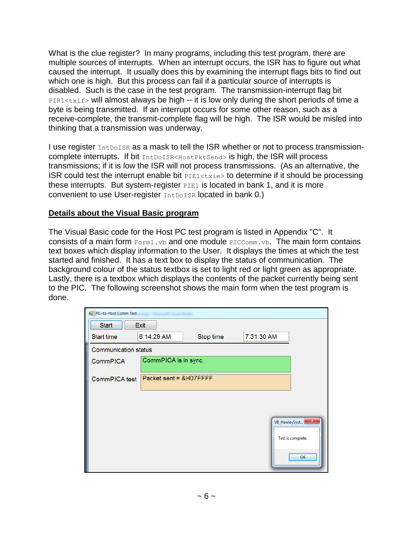What is the clue register? In many programs, including this test program, there are multiple sources of interrupts. When an interrupt occurs, the ISR has to figure out what caused the interrupt. It usually does this by examining the interrupt flags bits to find out which one is high. But this process can fail if a particular source of interrupts is disabled. Such is the case in the test program. The transmission-interrupt flag bit PIR1<txif> will almost always be high -- it is low only during the short periods of time a byte is being transmitted. If an interrupt occurs for some other reason, such as a receive-complete, the transmit-complete flag will be high. The ISR would be misled into thinking that a transmission was underway.

I use register  $In$  to is a mask to tell the ISR whether or not to process transmissioncomplete interrupts. If bit IntDoISR<HostPktSend> is high, the ISR will process transmissions; if it is low the ISR will not process transmissions. (As an alternative, the ISR could test the interrupt enable bit  $PIE1 < txie>$  to determine if it should be processing these interrupts. But system-register  $PIE1$  is located in bank 1, and it is more convenient to use User-register **IntDoISR** located in bank 0.)

### **Details about the Visual Basic program**

The Visual Basic code for the Host PC test program is listed in Appendix "C". It consists of a main form Form1.vb and one module PICComm.vb. The main form contains text boxes which display information to the User. It displays the times at which the test started and finished. It has a text box to display the status of communication. The background colour of the status textbox is set to light red or light green as appropriate. Lastly, there is a textbox which displays the contents of the packet currently being sent to the PIC. The following screenshot shows the main form when the test program is done.

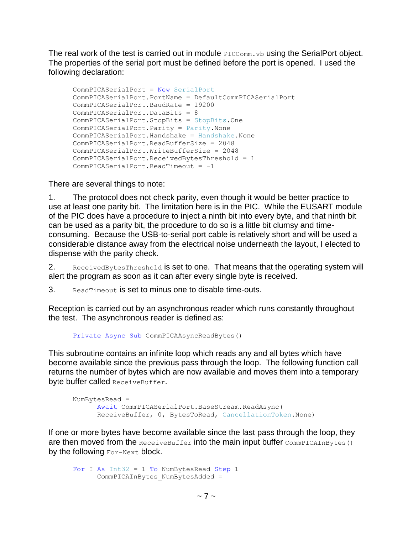The real work of the test is carried out in module  $PICComm.vb$  using the SerialPort object. The properties of the serial port must be defined before the port is opened. I used the following declaration:

```
CommPICASerialPort = New SerialPort
CommPICASerialPort.PortName = DefaultCommPICASerialPort
 CommPICASerialPort.BaudRate = 19200
 CommPICASerialPort.DataBits = 8
 CommPICASerialPort.StopBits = StopBits.One
 CommPICASerialPort.Parity = Parity.None
 CommPICASerialPort.Handshake = Handshake.None
 CommPICASerialPort.ReadBufferSize = 2048
 CommPICASerialPort.WriteBufferSize = 2048
 CommPICASerialPort.ReceivedBytesThreshold = 1
 CommPICASerialPort.ReadTimeout = -1
```
There are several things to note:

1. The protocol does not check parity, even though it would be better practice to use at least one parity bit. The limitation here is in the PIC. While the EUSART module of the PIC does have a procedure to inject a ninth bit into every byte, and that ninth bit can be used as a parity bit, the procedure to do so is a little bit clumsy and timeconsuming. Because the USB-to-serial port cable is relatively short and will be used a considerable distance away from the electrical noise underneath the layout, I elected to dispense with the parity check.

2. ReceivedBytesThreshold is set to one. That means that the operating system will alert the program as soon as it can after every single byte is received.

3. ReadTimeout is set to minus one to disable time-outs.

Reception is carried out by an asynchronous reader which runs constantly throughout the test. The asynchronous reader is defined as:

```
Private Async Sub CommPICAAsyncReadBytes()
```
This subroutine contains an infinite loop which reads any and all bytes which have become available since the previous pass through the loop. The following function call returns the number of bytes which are now available and moves them into a temporary byte buffer called ReceiveBuffer.

```
NumBytesRead =
       Await CommPICASerialPort.BaseStream.ReadAsync(
       ReceiveBuffer, 0, BytesToRead, CancellationToken.None)
```
If one or more bytes have become available since the last pass through the loop, they are then moved from the ReceiveBuffer into the main input buffer CommPICAInBytes() by the following For-Next block.

```
For I As Int32 = 1 To NumBytesRead Step 1
      CommPICAInBytes_NumBytesAdded =
```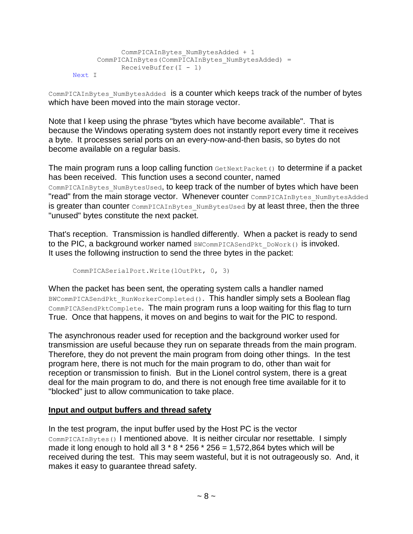```
 CommPICAInBytes_NumBytesAdded + 1
      CommonPLCAInBytes (CommPICAInBytes_NumBytesAdded) =
            ReceiveBuffer(I - 1)Next I
```
CommPICAInBytes\_NumBytesAdded is a counter which keeps track of the number of bytes which have been moved into the main storage vector.

Note that I keep using the phrase "bytes which have become available". That is because the Windows operating system does not instantly report every time it receives a byte. It processes serial ports on an every-now-and-then basis, so bytes do not become available on a regular basis.

The main program runs a loop calling function  $\epsilon_{\text{etNextPacket}}$  to determine if a packet has been received. This function uses a second counter, named COMMPICAInBytes NumBytesUsed, to keep track of the number of bytes which have been "read" from the main storage vector. Whenever counter CommPICAInBytes\_NumBytesAdded is greater than counter CommPICAInBytes\_NumBytesUsed by at least three, then the three "unused" bytes constitute the next packet.

That's reception. Transmission is handled differently. When a packet is ready to send to the PIC, a background worker named BWCommPICASendPkt\_DoWork() is invoked. It uses the following instruction to send the three bytes in the packet:

CommPICASerialPort.Write(lOutPkt, 0, 3)

When the packet has been sent, the operating system calls a handler named BWCommPICASendPkt RunWorkerCompleted(). This handler simply sets a Boolean flag CommPICASendPktComplete. The main program runs a loop waiting for this flag to turn True. Once that happens, it moves on and begins to wait for the PIC to respond.

The asynchronous reader used for reception and the background worker used for transmission are useful because they run on separate threads from the main program. Therefore, they do not prevent the main program from doing other things. In the test program here, there is not much for the main program to do, other than wait for reception or transmission to finish. But in the Lionel control system, there is a great deal for the main program to do, and there is not enough free time available for it to "blocked" just to allow communication to take place.

### **Input and output buffers and thread safety**

In the test program, the input buffer used by the Host PC is the vector CommPICAInBytes() I mentioned above. It is neither circular nor resettable. I simply made it long enough to hold all  $3 * 8 * 256 * 256 = 1,572,864$  bytes which will be received during the test. This may seem wasteful, but it is not outrageously so. And, it makes it easy to guarantee thread safety.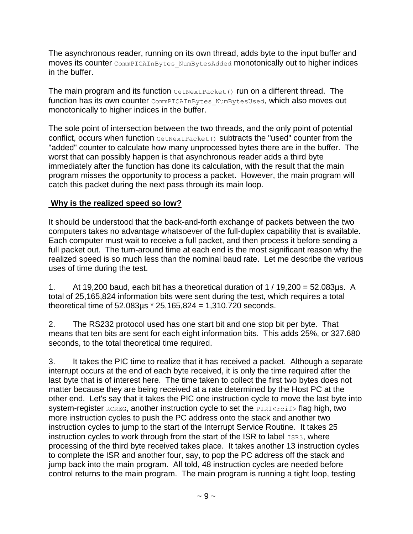The asynchronous reader, running on its own thread, adds byte to the input buffer and moves its counter CommPICAInBytes\_NumBytesAdded monotonically out to higher indices in the buffer.

The main program and its function GetNextPacket() run on a different thread. The function has its own counter CommPICAInBytes NumBytesUsed, which also moves out monotonically to higher indices in the buffer.

The sole point of intersection between the two threads, and the only point of potential conflict, occurs when function GetNextPacket() subtracts the "used" counter from the "added" counter to calculate how many unprocessed bytes there are in the buffer. The worst that can possibly happen is that asynchronous reader adds a third byte immediately after the function has done its calculation, with the result that the main program misses the opportunity to process a packet. However, the main program will catch this packet during the next pass through its main loop.

# **Why is the realized speed so low?**

It should be understood that the back-and-forth exchange of packets between the two computers takes no advantage whatsoever of the full-duplex capability that is available. Each computer must wait to receive a full packet, and then process it before sending a full packet out. The turn-around time at each end is the most significant reason why the realized speed is so much less than the nominal baud rate. Let me describe the various uses of time during the test.

1. At 19,200 baud, each bit has a theoretical duration of  $1/19,200 = 52.083\mu s$ . A total of 25,165,824 information bits were sent during the test, which requires a total theoretical time of 52.083µs \* 25,165,824 = 1,310.720 seconds.

2. The RS232 protocol used has one start bit and one stop bit per byte. That means that ten bits are sent for each eight information bits. This adds 25%, or 327.680 seconds, to the total theoretical time required.

3. It takes the PIC time to realize that it has received a packet. Although a separate interrupt occurs at the end of each byte received, it is only the time required after the last byte that is of interest here. The time taken to collect the first two bytes does not matter because they are being received at a rate determined by the Host PC at the other end. Let's say that it takes the PIC one instruction cycle to move the last byte into system-register RCREG, another instruction cycle to set the PIR1<rcif> flag high, two more instruction cycles to push the PC address onto the stack and another two instruction cycles to jump to the start of the Interrupt Service Routine. It takes 25 instruction cycles to work through from the start of the ISR to label  $_{\text{ISR3}}$ , where processing of the third byte received takes place. It takes another 13 instruction cycles to complete the ISR and another four, say, to pop the PC address off the stack and jump back into the main program. All told, 48 instruction cycles are needed before control returns to the main program. The main program is running a tight loop, testing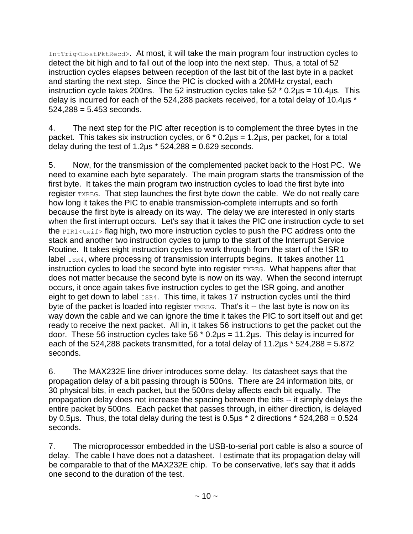IntTrig<HostPktRecd>. At most, it will take the main program four instruction cycles to detect the bit high and to fall out of the loop into the next step. Thus, a total of 52 instruction cycles elapses between reception of the last bit of the last byte in a packet and starting the next step. Since the PIC is clocked with a 20MHz crystal, each instruction cycle takes 200ns. The 52 instruction cycles take  $52 * 0.2\mu s = 10.4\mu s$ . This delay is incurred for each of the 524,288 packets received, for a total delay of 10.4µs \*  $524.288 = 5.453$  seconds.

4. The next step for the PIC after reception is to complement the three bytes in the packet. This takes six instruction cycles, or  $6 * 0.2 \mu s = 1.2 \mu s$ , per packet, for a total delay during the test of  $1.2\mu s * 524,288 = 0.629$  seconds.

5. Now, for the transmission of the complemented packet back to the Host PC. We need to examine each byte separately. The main program starts the transmission of the first byte. It takes the main program two instruction cycles to load the first byte into register TXREG. That step launches the first byte down the cable. We do not really care how long it takes the PIC to enable transmission-complete interrupts and so forth because the first byte is already on its way. The delay we are interested in only starts when the first interrupt occurs. Let's say that it takes the PIC one instruction cycle to set the PIR1<txif> flag high, two more instruction cycles to push the PC address onto the stack and another two instruction cycles to jump to the start of the Interrupt Service Routine. It takes eight instruction cycles to work through from the start of the ISR to label ISR4, where processing of transmission interrupts begins. It takes another 11 instruction cycles to load the second byte into register TXREG. What happens after that does not matter because the second byte is now on its way. When the second interrupt occurs, it once again takes five instruction cycles to get the ISR going, and another eight to get down to label ISR4. This time, it takes 17 instruction cycles until the third byte of the packet is loaded into register TXREG. That's it -- the last byte is now on its way down the cable and we can ignore the time it takes the PIC to sort itself out and get ready to receive the next packet. All in, it takes 56 instructions to get the packet out the door. These 56 instruction cycles take 56  $*$  0.2 $\mu$ s = 11.2 $\mu$ s. This delay is incurred for each of the 524,288 packets transmitted, for a total delay of 11.2 $\mu$ s  $*$  524,288 = 5.872 seconds.

6. The MAX232E line driver introduces some delay. Its datasheet says that the propagation delay of a bit passing through is 500ns. There are 24 information bits, or 30 physical bits, in each packet, but the 500ns delay affects each bit equally. The propagation delay does not increase the spacing between the bits -- it simply delays the entire packet by 500ns. Each packet that passes through, in either direction, is delayed by 0.5 $\mu$ s. Thus, the total delay during the test is 0.5 $\mu$ s  $*$  2 directions  $*$  524,288 = 0.524 seconds.

7. The microprocessor embedded in the USB-to-serial port cable is also a source of delay. The cable I have does not a datasheet. I estimate that its propagation delay will be comparable to that of the MAX232E chip. To be conservative, let's say that it adds one second to the duration of the test.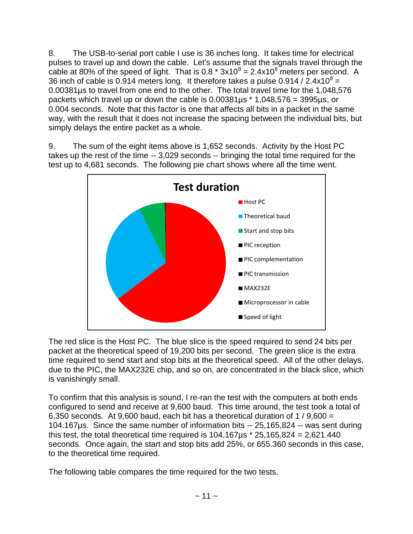8. The USB-to-serial port cable I use is 36 inches long. It takes time for electrical pulses to travel up and down the cable. Let's assume that the signals travel through the cable at 80% of the speed of light. That is 0.8  $*$  3x10<sup>8</sup> = 2.4x10<sup>8</sup> meters per second. A 36 inch of cable is 0.914 meters long. It therefore takes a pulse 0.914 / 2.4x10<sup>8</sup> = 0.00381µs to travel from one end to the other. The total travel time for the 1,048,576 packets which travel up or down the cable is  $0.00381\mu s * 1,048,576 = 3995\mu s$ , or 0.004 seconds. Note that this factor is one that affects all bits in a packet in the same way, with the result that it does not increase the spacing between the individual bits, but simply delays the entire packet as a whole.

9. The sum of the eight items above is 1,652 seconds. Activity by the Host PC takes up the rest of the time -- 3,029 seconds -- bringing the total time required for the test up to 4,681 seconds. The following pie chart shows where all the time went.



The red slice is the Host PC. The blue slice is the speed required to send 24 bits per packet at the theoretical speed of 19,200 bits per second. The green slice is the extra time required to send start and stop bits at the theoretical speed. All of the other delays, due to the PIC, the MAX232E chip, and so on, are concentrated in the black slice, which is vanishingly small.

To confirm that this analysis is sound, I re-ran the test with the computers at both ends configured to send and receive at 9,600 baud. This time around, the test took a total of 6,350 seconds. At 9,600 baud, each bit has a theoretical duration of 1 / 9,600 = 104.167µs. Since the same number of information bits -- 25,165,824 -- was sent during this test, the total theoretical time required is  $104.167\mu s * 25.165.824 = 2.621.440$ seconds. Once again, the start and stop bits add 25%, or 655.360 seconds in this case, to the theoretical time required.

The following table compares the time required for the two tests.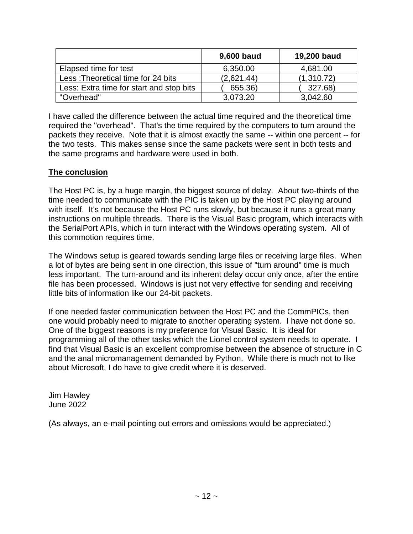|                                          | 9,600 baud | 19,200 baud |
|------------------------------------------|------------|-------------|
| Elapsed time for test                    | 6,350.00   | 4,681.00    |
| Less: Theoretical time for 24 bits       | (2,621.44) | (1,310.72)  |
| Less: Extra time for start and stop bits | 655.36)    | 327.68)     |
| "Overhead"                               | 3,073.20   | 3,042.60    |

I have called the difference between the actual time required and the theoretical time required the "overhead". That's the time required by the computers to turn around the packets they receive. Note that it is almost exactly the same -- within one percent -- for the two tests. This makes sense since the same packets were sent in both tests and the same programs and hardware were used in both.

### **The conclusion**

The Host PC is, by a huge margin, the biggest source of delay. About two-thirds of the time needed to communicate with the PIC is taken up by the Host PC playing around with itself. It's not because the Host PC runs slowly, but because it runs a great many instructions on multiple threads. There is the Visual Basic program, which interacts with the SerialPort APIs, which in turn interact with the Windows operating system. All of this commotion requires time.

The Windows setup is geared towards sending large files or receiving large files. When a lot of bytes are being sent in one direction, this issue of "turn around" time is much less important. The turn-around and its inherent delay occur only once, after the entire file has been processed. Windows is just not very effective for sending and receiving little bits of information like our 24-bit packets.

If one needed faster communication between the Host PC and the CommPICs, then one would probably need to migrate to another operating system. I have not done so. One of the biggest reasons is my preference for Visual Basic. It is ideal for programming all of the other tasks which the Lionel control system needs to operate. I find that Visual Basic is an excellent compromise between the absence of structure in C and the anal micromanagement demanded by Python. While there is much not to like about Microsoft, I do have to give credit where it is deserved.

Jim Hawley June 2022

(As always, an e-mail pointing out errors and omissions would be appreciated.)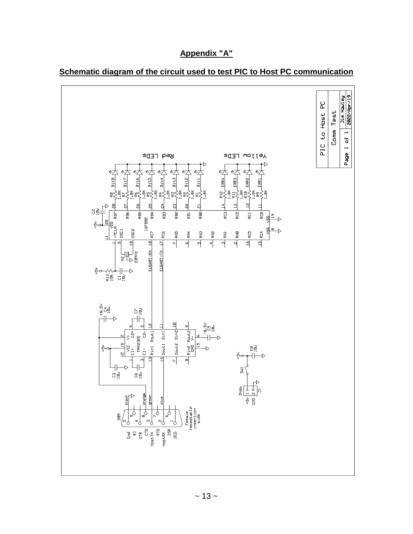

# **Appendix "A"**

**Schematic diagram of the circuit used to test PIC to Host PC communication**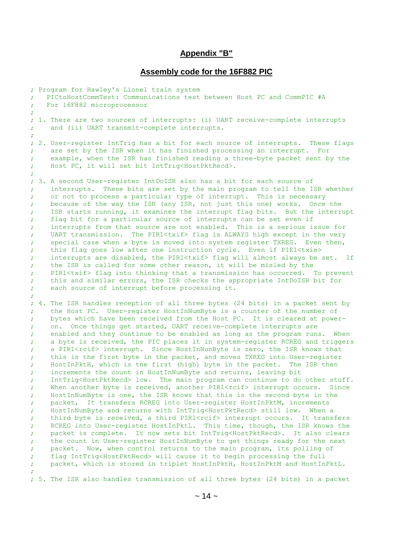#### **Appendix "B"**

#### **Assembly code for the 16F882 PIC**

; Program for Hawley's Lionel train system ; PICtoHostCommTest: Communications test between Host PC and CommPIC #A ; For 16F882 microprocessor ; ; 1. There are two sources of interrupts: (i) UART receive-complete interrupts ; and (ii) UART transmit-complete interrupts. ; ; 2. User-register IntTrig has a bit for each source of interrupts. These flags ; are set by the ISR when it has finished processing an interrupt. For ; example, when the ISR has finished reading a three-byte packet sent by the ; Host PC, it will set bit IntTrig<HostPktRecd>. ; ; 3. A second User-register IntDoISR also has a bit for each source of ; interrupts. These bits are set by the main program to tell the ISR whether ; or not to process a particular type of interrupt. This is necessary ; because of the way the ISR (any ISR, not just this one) works. Once the ; ISR starts running, it examines the interrupt flag bits. But the interrupt ; flag bit for a particular source of interrupts can be set even if ; interrupts from that source are not enabled. This is a serious issue for ; UART transmission. The PIR1<txif> flag is ALWAYS high except in the very ; special case when a byte is moved into system register TXREG. Even then, ; this flag goes low after one instruction cycle. Even if PIE1<txie> ; interrupts are disabled, the PIR1<txif> flag will almost always be set. If ; the ISR is called for some other reason, it will be misled by the ; PIR1<txif> flag into thinking that a transmission has occurred. To prevent ; this and similar errors, the ISR checks the appropriate IntDoISR bit for ; each source of interrupt before processing it. ; ; 4. The ISR handles reception of all three bytes (24 bits) in a packet sent by ; the Host PC. User-register HostInNumByte is a counter of the number of ; bytes which have been received from the Host PC. It is cleared at power- ; on. Once things get started, UART receive-complete interrupts are ; enabled and they continue to be enabled as long as the program runs. When ; a byte is received, the PIC places it in system-register RCREG and triggers ; a PIR1<rcif> interrupt. Since HostInNunByte is zero, the ISR knows that ; this is the first byte in the packet, and moves TXREG into User-register ; HostInPktH, which is the first (high) byte in the packet. The ISR then ; increments the count in HostInNumByte and returns, leaving bit ; IntTrig<HostPktRecd> low. The main program can continue to do other stuff. ; When another byte is received, another PIR1<rcif> interrupt occurs. Since ; HostInNumByte is one, the ISR knows that this is the second byte in the ; packet, It transfers RCREG into User-register HostInPktM, increments ; HostInNumByte and returns with IntTrig<HostPktRecd> still low. When a ; third byte is received, a third PIR1<rcif> interrupt occurs. It transfers ; RCREG into User-register HostInPktL. This time, though, the ISR knows the ; packet is complete. It now sets bit IntTrig<HostPktRecd>. It also clears ; the count in User-register HostInNumByte to get things ready for the next ; packet. Now, when control returns to the main program, its polling of ; flag IntTrig<HostPktRecd> will cause it to begin processing the full packet, which is stored in triplet HostInPktH, HostInPktM and HostInPktL. ; ; 5. The ISR also handles transmission of all three bytes (24 bits) in a packet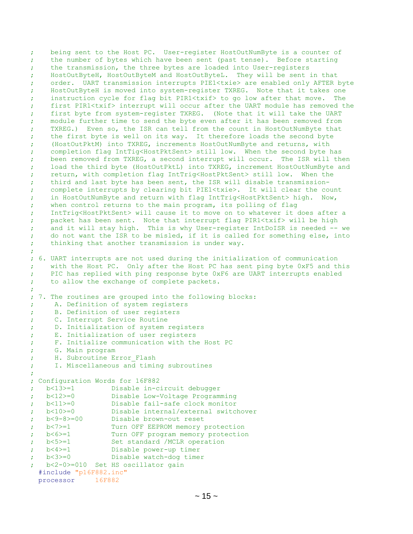; being sent to the Host PC. User-register HostOutNumByte is a counter of ; the number of bytes which have been sent (past tense). Before starting ; the transmission, the three bytes are loaded into User-registers ; HostOutByteH, HostOutByteM and HostOutByteL. They will be sent in that ; order. UART transmission interrupts PIE1<txie> are enabled only AFTER byte ; HostOutByteH is moved into system-register TXREG. Note that it takes one ; instruction cycle for flag bit PIR1<txif> to go low after that move. The ; first PIR1<txif> interrupt will occur after the UART module has removed the ; first byte from system-register TXREG. (Note that it will take the UART ; module further time to send the byte even after it has been removed from ; TXREG.) Even so, the ISR can tell from the count in HostOutNumByte that ; the first byte is well on its way. It therefore loads the second byte ; (HostOutPktM) into TXREG, increments HostOutNumByte and returns, with ; completion flag IntTig<HostPktSent> still low. When the second byte has ; been removed from TXREG, a second interrupt will occur. The ISR will then ; load the third byte (HostOutPktL) into TXREG, increment HostOutNumByte and ; return, with completion flag IntTrig<HostPktSent> still low. When the ; third and last byte has been sent, the ISR will disable transmission- ; complete interrupts by clearing bit PIE1<txie>. It will clear the count ; in HostOutNumByte and return with flag IntTrig<HostPktSent> high. Now, ; when control returns to the main program, its polling of flag ; IntTrig<HostPktSent> will cause it to move on to whatever it does after a ; packet has been sent. Note that interrupt flag PIR1<txif> will be high ; and it will stay high. This is why User-register IntDoISR is needed -- we ; do not want the ISR to be misled, if it is called for something else, into ; thinking that another transmission is under way. ; ; 6. UART interrupts are not used during the initialization of communication ; with the Host PC. Only after the Host PC has sent ping byte 0xF5 and this ; PIC has replied with ping response byte 0xF6 are UART interrupts enabled ; to allow the exchange of complete packets. ; ; 7. The routines are grouped into the following blocks: ; A. Definition of system registers ; B. Definition of user registers ; C. Interrupt Service Routine ; D. Initialization of system registers ; E. Initialization of user registers ; F. Initialize communication with the Host PC ; G. Main program ; H. Subroutine Error Flash ; I. Miscellaneous and timing subroutines ; ; Configuration Words for 16F882 ; b<13>=1 Disable in-circuit debugger ; b<12>=0 Disable Low-Voltage Programming ; b<11>=0 Disable fail-safe clock monitor ; b<10>=0 Disable internal/external switchover ; b<9-8>=00 Disable brown-out reset ; b<7>=1 Turn OFF EEPROM memory protection % b<6>=1 Turn OFF program memory protection<br>
; b<5>=1 Set standard /MCLR operation ; b<5>=1 Set standard /MCLR operation ; b<4>=1 Disable power-up timer ; b<3>=0 Disable watch-dog timer ; b<2-0>=010 Set HS oscillator gain #include "p16F882.inc" processor 16F882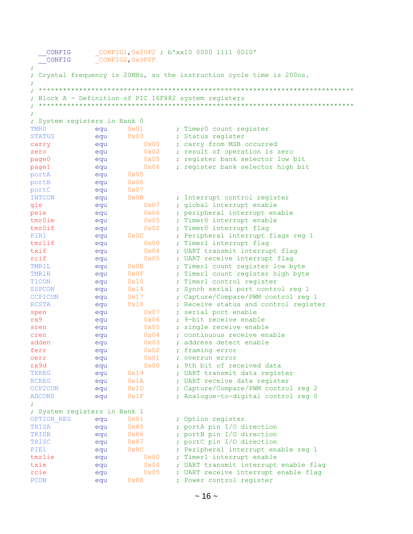| CONFIG                       |            | CONFIG1, 0x20F2 ; b'xx10 0000 1111 0010' |               |                                                                     |
|------------------------------|------------|------------------------------------------|---------------|---------------------------------------------------------------------|
| CONFIG                       |            | CONFIG2, 0x3FFF                          |               |                                                                     |
|                              |            |                                          |               |                                                                     |
|                              |            |                                          |               | Crystal frequency is 20MHz, so the instruction cycle time is 200ns. |
|                              |            |                                          |               |                                                                     |
|                              |            |                                          |               | Block A - Definition of PIC 16F882 system registers                 |
|                              |            |                                          |               |                                                                     |
|                              |            |                                          |               |                                                                     |
| ; System registers in Bank 0 |            |                                          |               |                                                                     |
| TMR0                         | equ        | 0x01                                     |               | ; Timer0 count register                                             |
| <b>STATUS</b>                | equ        | $0 \times 03$                            |               | ; Status register                                                   |
| carry                        | equ        |                                          | 0x00          | ; carry from MSB occurred                                           |
| zero                         | equ        |                                          | 0x02          | ; result of operation is zero                                       |
| page0                        | equ        |                                          | 0x05          | ; register bank selector low bit                                    |
| page1                        | equ        |                                          | 0x06          | ; register bank selector high bit                                   |
| portA                        | equ        | 0x05                                     |               |                                                                     |
| portB                        | equ        | 0x06                                     |               |                                                                     |
| portC                        | equ        | 0x07                                     |               |                                                                     |
| <b>INTCON</b>                | equ        | $0 \times 0 B$                           |               | ; Interrupt control register                                        |
| gie                          | equ        |                                          | 0x07          | ; global interrupt enable                                           |
| peie                         | equ        |                                          | 0x06          | ; peripheral interrupt enable                                       |
| tmr0ie                       | equ        |                                          | 0x05          | ; Timer0 interrupt enable                                           |
| tmr0if                       | equ        |                                          | 0x02          | Timer0 interrupt flag                                               |
| PIR1                         | equ        | $0\times 0C$                             |               | Peripheral interrupt flags reg 1                                    |
| tmrlif                       | equ        |                                          | 0x00          | ; Timer1 interrupt flag                                             |
| txif                         | equ        |                                          | 0x04          | ; UART transmit interrupt flag                                      |
| rcif                         | equ        |                                          | 0x05          | ; UART receive interrupt flaq                                       |
| TMR1L                        | equ        | $0 \times 0E$                            |               | ; Timer1 count register low byte                                    |
| TMR1H                        | equ        | 0x0F                                     |               | ; Timer1 count register high byte                                   |
| T <sub>1</sub> CON           | equ        | 0x10                                     |               | Timer1 control register                                             |
| <b>SSPCON</b>                | equ        | 0x14                                     |               | ; Synch serial port control reg 1                                   |
| <b>CCP1CON</b>               | equ        | 0x17                                     |               | ; Capture/Compare/PWM control reg 1                                 |
| <b>RCSTA</b>                 | equ        | 0x18                                     |               | ; Receive status and control register                               |
| spen                         | equ        |                                          | $0 \times 07$ | ; serial port enable                                                |
| rx9                          | equ        |                                          | 0x06          | ; 9-bit receive enable                                              |
| sren                         | equ        |                                          | $0 \times 05$ | ; single receive enable                                             |
| cren                         | equ        |                                          | $0\times04$   | : continuous receive enable                                         |
| adden                        | equ        |                                          | 0x03          | ; address detect enable                                             |
| ferr                         | equ        |                                          | 0x02<br>0x01  | framing error                                                       |
| oerr<br>rx9d                 | equ<br>equ |                                          | 0x00          | ; overrun error<br>; 9th bit of received data                       |
| <b>TXREG</b>                 |            | 0x19                                     |               | ; UART transmit data register                                       |
| <b>RCREG</b>                 | equ<br>equ | 0x1A                                     |               | ; UART receive data register                                        |
| CCP2CON                      | equ        | 0x1D                                     |               | ; Capture/Compare/PWM control reg 2                                 |
| ADCON0                       | equ        | 0x1F                                     |               | ; Analogue-to-digital control reg 0                                 |
| ÷                            |            |                                          |               |                                                                     |
| ; System registers in Bank 1 |            |                                          |               |                                                                     |
| OPTION REG                   | equ        | 0x81                                     |               | ; Option register                                                   |
| TRISA                        | equ        | 0x85                                     |               | ; portA pin I/O direction                                           |
| TRISB                        | equ        | 0x86                                     |               | ; portB pin I/O direction                                           |
| TRISC                        | equ        | 0x87                                     |               | ; portC pin I/O direction                                           |
| PIE1                         | equ        | 0x8C                                     |               | Peripheral interrupt enable reg 1                                   |
| tmrlie                       | equ        |                                          | 0x00          | ; Timer1 interrupt enable                                           |
| txie                         | equ        |                                          | 0x04          | ; UART transmit interrupt enable flag                               |
| rcie                         | equ        |                                          | 0x05          | ; UART receive interrupt enable flag                                |
| PCON                         | equ        | $0 \times 8E$                            |               | ; Power control register                                            |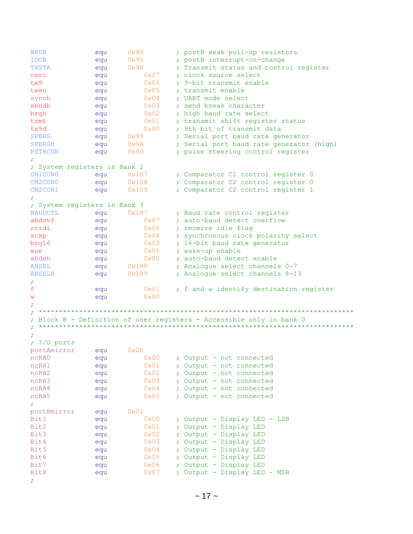WPUB equ  $0x95$  ; portB weak pull-up resistors IOCB equ 0x96 ; portB interrupt-on-change TXSTA equ 0x98 ; Transmit status and control register TXSTA equ  $0x98$  ; Transmit status and control register<br>csrc equ  $0x07$  ; clock source select tx9 equ 0x06 ; 9-bit transmit enable txen equ 0x05 ; transmit enable synch equ  $0x04$  ; UART mode select sendb equ 0x03 ; send break character brgh equ 0x02 ; high baud rate select trmt equ 0x01 ; transmit shift register status tx9d equ 0x00 ; 9th bit of transmit data SPBRG equ 0x99 ; Serial port baud rate generator SPBRGH equ 0x9A ; Serial port baud rate generator (high)<br>
PSTRCON equ 0x9D ; pulse steering control register PSTRCON equ 0x9D ; pulse steering control register ; ; System registers in Bank 2 CM1CON0 equ 0x107 ; Comparator C1 control register 0<br>
CM2CON0 equ 0x108 ; Comparator C2 control register 0 CM2CON0 equ 0x108 ; Comparator C2 control register 0<br>
CM2CON1 equ 0x109 ; Comparator C2 control register 1 equ 0x109 ; Comparator C2 control register 1 ; ; System registers in Bank 3  $\begin{tabular}{lcccc} BAUDCTL & equ & 0x187 & ; Baud rate control register  
abdovf & equ & 0x07 & ; auto-baud detect overflow  
reidl & equ & 0x06 & ; receive idle flag  
schp & equ & 0x04 & ; synchronous clock polarity  
berg16 & equ & 0x03 & ; 16-bit baud rate generator  
wee & equ & 0x01 & ; wake-up enable \end{tabular}$ abdovf equ 0x07 ; auto-baud detect overflow rcidl equ 0x06 ; receive idle flag sckp equ  $0x04$  ; synchronous clock polarity select brg16 equ 0x03 ; 16-bit baud rate generator wue equ  $0x01$  ; wake-up enable abden equ  $0x00$  ; auto-baud detect enable<br>
ANSEL equ  $0x188$  ; Analogue select channels<br>
ANSELH equ  $0x189$  ; Analogue select channels ANSEL equ  $0x188$  ; Analogue select channels 0-7 ANSELH equ 0x189 ; Analogue select channels 8-13 ; f equ 0x01 ; f and w identify destination register w equ 0x00 ; ; \*\*\*\*\*\*\*\*\*\*\*\*\*\*\*\*\*\*\*\*\*\*\*\*\*\*\*\*\*\*\*\*\*\*\*\*\*\*\*\*\*\*\*\*\*\*\*\*\*\*\*\*\*\*\*\*\*\*\*\*\*\*\*\*\*\*\*\*\*\*\*\*\*\*\*\*\*\* ; Block B - Definition of user registers - Accessible only in bank 0 ; \*\*\*\*\*\*\*\*\*\*\*\*\*\*\*\*\*\*\*\*\*\*\*\*\*\*\*\*\*\*\*\*\*\*\*\*\*\*\*\*\*\*\*\*\*\*\*\*\*\*\*\*\*\*\*\*\*\*\*\*\*\*\*\*\*\*\*\*\*\*\*\*\*\*\*\*\*\* ; ; I/O ports portAmirror equ 0x20 ncRA0 equ 0x00 ; Output - not connected ncRA1 equ 0x01 ; Output - not connected ncRA2 equ 0x02 ; Output - not connected ncRA3 equ 0x03 ; Output - not connected ncRA2 equ  $0x02$  ; Output - not connected<br>
ncRA3 equ  $0x03$  ; Output - not connected<br>
ncRA4 equ  $0x04$  ; Output - not connected<br>
ncRA5 equ  $0x05$  ; Output - not connected ncRA5 equ 0x05 ; Output - not connected ; portBmirror equ 0x21 Bit1 equ  $0x00$  ; Output - Display LED - LSB Bit2 equ 0x01 ; Output - Display LED Bit3 equ 0x02 ; Output - Display LED Bit4 equ 0x03 ; Output - Display LED Bit5 equ 0x04 ; Output - Display LED Bit6 equ  $0x05$  ; Output - Display LED Bit7 equ  $0x06$  ; Output - Display LED<br>Bit8 equ  $0x07$  ; Output - Display LED Bit8 equ  $0x07$  ; Output - Display LED - MSB ;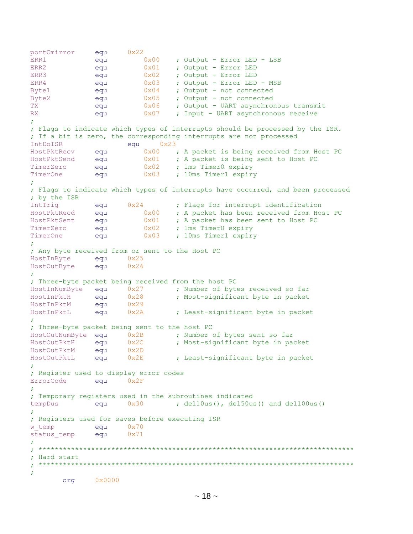```
portCmirror equ 0x22
ERR1 equ 0x00 ; Output - Error LED - LSB
ERR2 equ 0x01 ; Output - Error LED
ERR3 equ 0x02 ; Output - Error LED
ERR4 equ 0x03 ; Output - Error LED - MSB
Byte1 equ 0x04 ; Output - not connected
Byte2 equ 0x05 ; Output - not connected
TX equ 0x06 ; Output - UART asynchronous transmit
RX equ 0x07 ; Input - UART asynchronous receive
;
; Flags to indicate which types of interrupts should be processed by the ISR.
; If a bit is zero, the corresponding interrupts are not processed
IntDoISR equ 0x23
HostPktRecv equ 0x00 ; A packet is being received from Host PC
HostPktSend equ 0x01 ; A packet is being sent to Host PC
TimerZero equ 0x02 ; 1ms Timer0 expiry
TimerOne equ 0x03 ; 10ms Timer1 expiry
;
; Flags to indicate which types of interrupts have occurred, and been processed
; by the ISR
IntTrig equ 0x24 ; Flags for interrupt identification
HostPktRecd equ 0x00 ; A packet has been received from Host PC
HostPktSent equ 0x01 ; A packet has been sent to Host PC
TimerZero equ 0x02 ; 1ms Timer0 expiry<br>TimerOne equ 0x03 ; 10ms Timer1 expiry
TimerOne equ 0x03 ; 10ms Timer1 expiry
;
; Any byte received from or sent to the Host PC
HostInByte equ 0x25
HostOutByte equ 0x26
;
; Three-byte packet being received from the host PC
HostInNumByte equ 0x27 ; Number of bytes received so far
HostInPktH equ 0x28 ; Most-significant byte in packet
HostInPktM equ 0x29<br>HostInPktL equ 0x2A
HostInPktL equ 0x2A ; Least-significant byte in packet
;
; Three-byte packet being sent to the host PC
HostOutNumByte equ 0x2B ; Number of bytes sent so far
HostOutPktH equ 0x2C ; Most-significant byte in packet
HostOutPktM equ 0x2D
HostOutPktL equ 0x2E ; Least-significant byte in packet
;
; Register used to display error codes
ErrorCode equ 0x2F;
; Temporary registers used in the subroutines indicated
tempDus equ 0x30 ; del10us(), del50us() and del100us()
;
; Registers used for saves before executing ISR
w temp equ 0x70status temp equ 0x71
;
;<br>;<br>;
; Hard start<br>; **************
                ; ******************************************************************************
;
       org 0x0000
```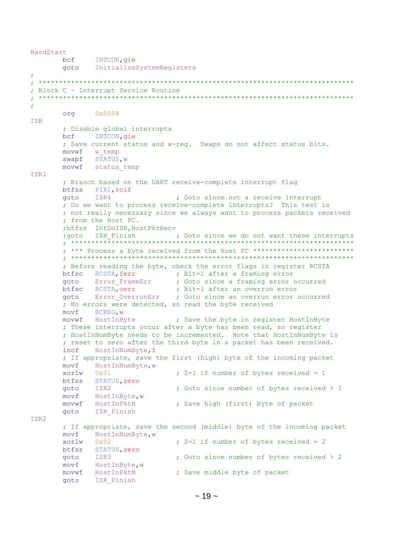```
INTCON, gie
      bcf
      goto
            InitializeSystemRegisters
\ddot{r}; Block C - Interrupt Service Routine
\ddot{r}org 0x0004ISR
      ; Disable global interrupts
      bcf INTCON, qie
      ; Save current status and w-reg. Swaps do not affect status bits.
      movwf w temp
      swapf STATUS, w
      movwf status temp
ISR1
      ; Branch based on the UART receive-complete interrupt flag
      btfss PIR1, rcif
            ISR4
                             ; Goto since not a receive interrupt
      goto
      ; Do we want to process receive-complete interrupts? This test is
      ; not really necessary since we always want to process packets received
      ; from the Host PC.
      ;btfss IntDoISR, HostPktRecv
      ; goto ISR Finish ; Goto since we do not want these interrupts
      ; *** Process a byte received from the Host PC **************************
      ; Before reading the byte, check the error flags in register RCSTA
      btfsc RCSTA, ferr ; Bit=1 after a framing error
                             ; Goto since a framing error occurred
      goto Error_FrameErr
      btfsc RCSTA, oerr : Bit=1 after an overrun error<br>goto Error_OverrunErr : Goto since an overrun error occurred
      ; No errors were detected, so read the byte received
      movf
            RCREG, W
      movwf HostInByte
                         ; Save the byte in register HostInByte
      ; These interrupts occur after a byte has been read, so register
      ; HostInNumByte needs to be incremented. Note that HostInNumByte is
      ; reset to zero after the third byte in a packet has been received.
      incf HostInNumByte, f
      ; If appropriate, save the first (high) byte of the incoming packet
      movf HostInNumByte, w
      xorlw 0x01
                              ; Z=1 if number of bytes received = 1
      btfss STATUS, zero
      goto ISR2<br>movf HostInByte,w
                              ; Goto since number of bytes received > 1
      movwf HostInPktH
                             ; Save high (first) byte of packet
      goto ISR Finish
ISR2
      ; If appropriate, save the second (middle) byte of the incoming packet
      movf HostInNumByte, w
                              ; Z=1 if number of bytes received = 2
      xorlw 0x02
      btfss STATUS, zero
      goto ISR3
                              ; Goto since number of bytes received > 2
      movf HostInByte, w
      movwf HostInPktM
                             ; Save middle byte of packet
      goto ISR Finish
```
HardStart

```
\sim 19 \sim
```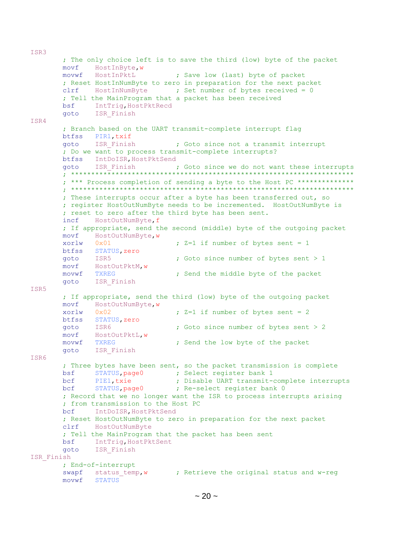; The only choice left is to save the third (low) byte of the packet movf HostInByte, w movwf HostInPktL ( ; Save low (last) byte of packet ; Reset HostInNumByte to zero in preparation for the next packet clrf HostInNumByte ; Set number of bytes received = 0 ; Tell the MainProgram that a packet has been received **bsf** IntTriq, HostPktRecd ISR Finish goto ISR4 ; Branch based on the UART transmit-complete interrupt flag btfss PIR1, txif goto ISR Finish ; Goto since not a transmit interrupt ; Do we want to process transmit-complete interrupts? btfss IntDoISR, HostPktSend goto ISR Finish ; Goto since we do not want these interrupts ; \*\*\* Process completion of sending a byte to the Host PC \*\*\*\*\*\*\*\*\*\*\*\*\*\*\* ; These interrupts occur after a byte has been transferred out, so ; register HostOutNumByte needs to be incremented. HostOutNumByte is ; reset to zero after the third byte has been sent. incf HostOutNumByte, f ; If appropriate, send the second (middle) byte of the outgoing packet movf HostOutNumByte, w ;  $Z=1$  if number of bytes sent = 1 xorlw 0x01 btfss STATUS, zero ; Goto since number of bytes sent  $> 1$ goto ISR5 movf HostOutPktM, w movwf TXREG ; Send the middle byte of the packet goto ISR Finish ISR5 ; If appropriate, send the third (low) byte of the outgoing packet movf HostOutNumByte, w ;  $Z=1$  if number of bytes sent = 2  $xortw$   $0x02$ btfss STATUS, zero you<br>goto ISR6<br>movf HostOutPktL,w ; Goto since number of bytes sent > 2 ; Send the low byte of the packet movwf TXREG goto ISR Finish ISR6 ; Three bytes have been sent, so the packet transmission is complete bsf STATUS, page0 ; Select register bank 1 bcf PIE1, txie : Disable UART transmit-complete interrupts<br>bcf STATUS, page0 : Re-select register bank 0 ; Record that we no longer want the ISR to process interrupts arising ; from transmission to the Host PC IntDoISR, HostPktSend  $hcf$ ; Reset HostOutNumByte to zero in preparation for the next packet  $clrf$ HostOutNumByte ; Tell the MainProgram that the packet has been sent bsf IntTrig, HostPktSent goto ISR Finish ISR Finish ; End-of-interrupt swapf status temp, w ; Retrieve the original status and w-reg movwf STATUS

ISR3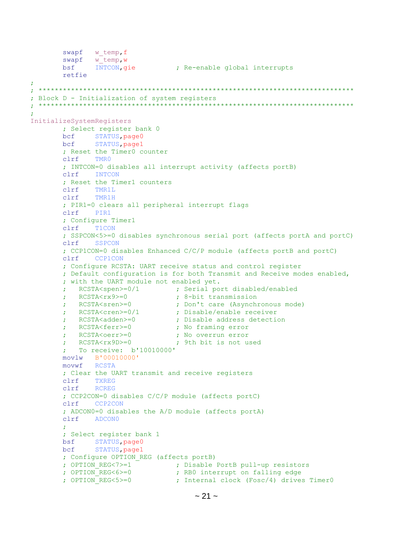```
swapf w temp, f
       swapf \overline{w} temp, \overline{w}bsf
              INTCON, gie
                                ; Re-enable global interrupts
       retfie
; Block D - Initialization of system registers
InitializeSystemRegisters
       ; Select register bank 0
       bcf STATUS, page0
       bcf
            STATUS, page1
       ; Reset the Timer0 counter
       c1rf TMR0; INTCON=0 disables all interrupt activity (affects portB)
       clrf INTCON
       ; Reset the Timer1 counters
       clrf TMR1L
             TMR1H
       clrf; PIR1=0 clears all peripheral interrupt flags
             PIR1
       clrf
       ; Configure Timer1
             T1CON
       clrf; SSPCON<5>=0 disables synchronous serial port (affects portA and portC)
       clrf SSPCON
       ; CCP1CON=0 disables Enhanced C/C/P module (affects portB and portC)
       clrfCCP1CON
       ; Configure RCSTA: UART receive status and control register
       ; Default configuration is for both Transmit and Receive modes enabled,
       ; with the UART module not enabled yet.
       ; RCSTA<spen>=0/1 ; Serial port disabled/enabled
          RCSTA<rx9>=0
                               ; 8-bit transmission
       ÷
                               ; Don't care (Asynchronous mode)
          RCSTA<sren>=0
       ÷
                                ; Disable/enable receiver
          RCSTA<cren>=0/1
       \ddot{r}; Disable address detection
          RCSTA<adden>=0
       \ddot{r}; No framing error
          RCSTA<ferr>=0
       \ddot{r}; No overrun error
          RCSTA<oerr>=0
       \mathcal{L}; 9th bit is not used
         RCSTA<rx9D>=0
       \mathcal{I}; To receive: b'10010000'
       movlw B'00010000'
       movwf RCSTA
       ; Clear the UART transmit and receive registers
       clrfTXREG
       clrfRCREG
       ; CCP2CON=0 disables C/C/P module (affects portC)
       clrf CCP2CON
       ; ADCON0=0 disables the A/D module (affects portA)
       clrfADCON0
       ; Select register bank 1
       bsf STATUS, page0
       bcf
             STATUS, page1
       ; Configure OPTION REG (affects portB)
       : OPTION REG<7>=1
                               ; Disable PortB pull-up resistors
       ; OPTION REG \leq 6 \geq 0; RBO interrupt on falling edge
       ; OPTION REG < 5> = 0; Internal clock (Fosc/4) drives Timer0
```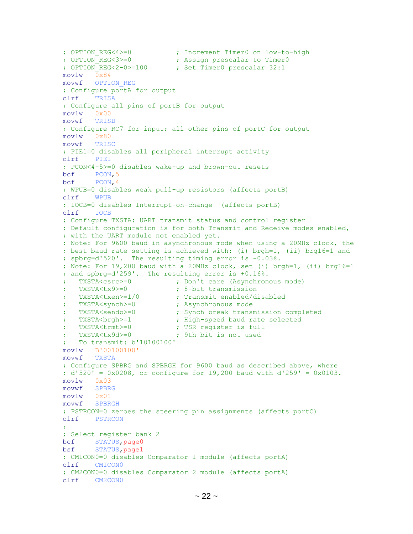```
 ; OPTION_REG<4>=0 ; Increment Timer0 on low-to-high
                                 ; Assign prescalar to Timer0
       ; OPTION REG<2-0>=100 ; Set Timer0 prescalar 32:1
        movlw 0x84
        movwf OPTION_REG
        ; Configure portA for output
        clrf TRISA
        ; Configure all pins of portB for output
        movlw 0x00
        movwf TRISB
        ; Configure RC7 for input; all other pins of portC for output
        movlw 0x80
        movwf TRISC
        ; PIE1=0 disables all peripheral interrupt activity
        clrf PIE1
        ; PCON<4-5>=0 disables wake-up and brown-out resets
       bcf PCON, 5
        bcf PCON,4
        ; WPUB=0 disables weak pull-up resistors (affects portB)
        clrf WPUB
        ; IOCB=0 disables Interrupt-on-change (affects portB)
        clrf IOCB
        ; Configure TXSTA: UART transmit status and control register
        ; Default configuration is for both Transmit and Receive modes enabled,
        ; with the UART module not enabled yet.
        ; Note: For 9600 baud in asynchronous mode when using a 20MHz clock, the
        ; best baud rate setting is achieved with: (i) brgh=1, (ii) brg16=1 and
        ; spbrg=d'520'. The resulting timing error is -0.03%.
        ; Note: For 19,200 baud with a 20MHz clock, set (i) brgh=1, (ii) brg16=1
        ; and spbrg=d'259'. The resulting error is +0.16%.
        ; TXSTA<csrc>=0 ; Don't care (Asynchronous mode)
        ; TXSTA<tx9>=0 ; 8-bit transmission
        ; TXSTA<txen>=1/0 ; Transmit enabled/disabled
        ; TXSTA<synch>=0 ; Asynchronous mode
        ; TXSTA<sendb>=0 ; Synch break transmission completed
       ; TXSTA<br/>brgh>=1 ; High-speed baud rate selected
        ; TXSTA<trmt>=0 ; TSR register is full
        ; TXSTA<tx9d>=0 ; 9th bit is not used
        ; To transmit: b'10100100'
        movlw B'00100100'
        movwf TXSTA
        ; Configure SPBRG and SPBRGH for 9600 baud as described above, where
        ; d'520' = 0x0208, or configure for 19,200 baud with d'259' = 0x0103.
        movlw 0x03
        movwf SPBRG
        movlw 0x01
        movwf SPBRGH
        ; PSTRCON=0 zeroes the steering pin assignments (affects portC)
        clrf PSTRCON
\mathcal{L}^{\text{max}} ; Select register bank 2
       bcf STATUS, page0
       bsf STATUS, page1
        ; CM1CON0=0 disables Comparator 1 module (affects portA)
        clrf CM1CON0
        ; CM2CON0=0 disables Comparator 2 module (affects portA)
        clrf CM2CON0
```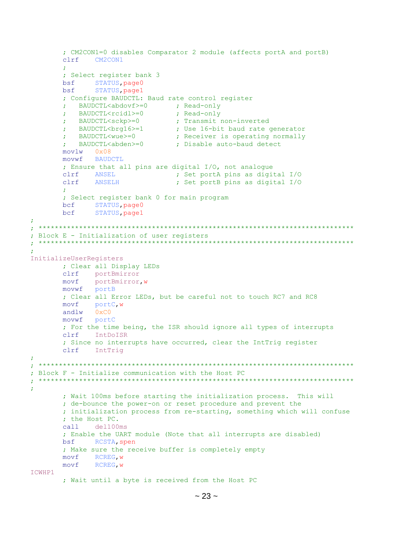```
; CM2CON1=0 disables Comparator 2 module (affects portA and portB)
       clrf CM2CON1
       ÷
       ; Select register bank 3
       bsf STATUS, page0
       bsf
             STATUS, page1
       ; Configure BAUDCTL: Baud rate control register
         \verb|BAUDCTL<abdovf>=0~~; Read-only\mathcal{L}; Read-only
         BAUDCTL<rcidl>=0
       \mathcal{L}; Transmit non-inverted
          BAUDCTL<sckp>=0
       ÷
         BAUDCIL<br/>Song16>=1
       3. BAUDCTL<br/>Solopy of the contract of the contract of the sense of the BAUDCTL<br/>Solopy of the contract of the BAUDCTL<wue>=0 \rightarrow the contract of the<br/>abden>=0 \rightarrow Disable auto-baud detect of the BAUDCTL<abden>=0
       movlw
             0x08movwf BAUDCTL
       ; Ensure that all pins are digital I/O, not analogue
       clrf ANSEL
                                ; Set portA pins as digital I/O
             ANSELH
       clrf; Set portB pins as digital I/O
       ; Select register bank 0 for main program
       bcf STATUS, page0
             STATUS, page1
       bcf
÷
 ÷
; Block E - Initialization of user registers
InitializeUserRegisters
       ; Clear all Display LEDs
       clrf portBmirror
             portBmirror, w
       movf
       movwf portB
       ; Clear all Error LEDs, but be careful not to touch RC7 and RC8
       movfportC, w
       andlw 0xC0movwf portC
       ; For the time being, the ISR should ignore all types of interrupts
       clrf IntDoISR
       ; Since no interrupts have occurred, clear the IntTrig register
       clrf IntTriq
; Block F - Initialize communication with the Host PC
 \mathcal{I}÷
       ; Wait 100ms before starting the initialization process. This will
       ; de-bounce the power-on or reset procedure and prevent the
       ; initialization process from re-starting, something which will confuse
       ; the Host PC.
       call
             del100ms
       ; Enable the UART module (Note that all interrupts are disabled)
       bsf RCSTA, spen
       ; Make sure the receive buffer is completely empty
       movf RCREG, w
      movf
             RCREG, W
ICWHP1
       ; Wait until a byte is received from the Host PC
```

```
~23 ~
```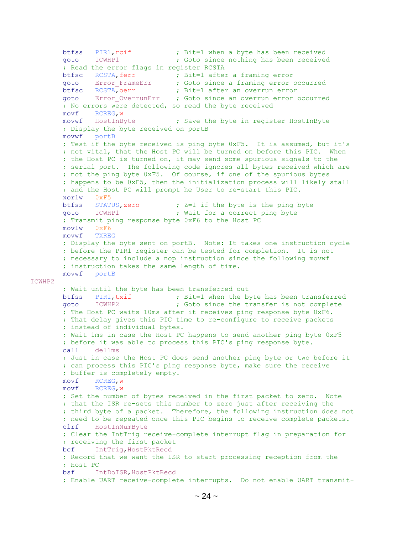btfss PIR1,rcif ; Bit=1 when a byte has been received goto ICWHP1 **;** Goto since nothing has been received ; Read the error flags in register RCSTA btfsc RCSTA, ferr ; Bit=1 after a framing error goto Error\_FrameErr ; Goto since a framing error occurred btfsc RCSTA,oerr ; Bit=1 after an overrun error goto Error OverrunErr ; Goto since an overrun error occurred ; No errors were detected, so read the byte received movf RCREG,w movwf HostInByte ; Save the byte in register HostInByte ; Display the byte received on portB movwf portB ; Test if the byte received is ping byte 0xF5. It is assumed, but it's ; not vital, that the Host PC will be turned on before this PIC. When ; the Host PC is turned on, it may send some spurious signals to the ; serial port. The following code ignores all bytes received which are ; not the ping byte 0xF5. Of course, if one of the spurious bytes ; happens to be 0xF5, then the initialization process will likely stall ; and the Host PC will prompt he User to re-start this PIC. xorlw 0xF5 btfss STATUS, zero :  $Z=1$  if the byte is the ping byte goto ICWHP1 **;** Wait for a correct ping byte ; Transmit ping response byte 0xF6 to the Host PC movlw 0xF6 movwf TXREG ; Display the byte sent on portB. Note: It takes one instruction cycle ; before the PIR1 register can be tested for completion. It is not ; necessary to include a nop instruction since the following movwf ; instruction takes the same length of time. movwf portB ICWHP2 ; Wait until the byte has been transferred out btfss PIR1, txif ; Bit=1 when the byte has been transferred goto ICWHP2 ; Goto since the transfer is not complete ; The Host PC waits 10ms after it receives ping response byte 0xF6. ; That delay gives this PIC time to re-configure to receive packets ; instead of individual bytes. ; Wait 1ms in case the Host PC happens to send another ping byte 0xF5 ; before it was able to process this PIC's ping response byte. call del1ms ; Just in case the Host PC does send another ping byte or two before it ; can process this PIC's ping response byte, make sure the receive ; buffer is completely empty. movf RCREG,w movf RCREG,w ; Set the number of bytes received in the first packet to zero. Note ; that the ISR re-sets this number to zero just after receiving the ; third byte of a packet. Therefore, the following instruction does not ; need to be repeated once this PIC begins to receive complete packets. clrf HostInNumByte ; Clear the IntTrig receive-complete interrupt flag in preparation for ; receiving the first packet bcf IntTrig, HostPktRecd ; Record that we want the ISR to start processing reception from the ; Host PC bsf IntDoISR,HostPktRecd ; Enable UART receive-complete interrupts. Do not enable UART transmit-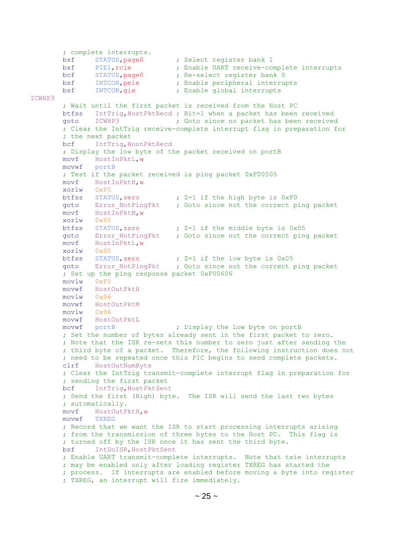```
 ; complete interrupts.
       bsf STATUS, page0 ; Select register bank 1<br>bsf PIE1, rcie ; Enable UART receive-com
       bsf PIE1, rcie ; Enable UART receive-complete interrupts<br>bcf STATUS, page0 ; Re-select register bank 0
              sTATUS, page0 ; Re-select register bank 0
        bsf INTCON,peie ; Enable peripheral interrupts
       bsf INTCON, qie \qquad \qquad ; Enable global interrupts
ICWHP3
        ; Wait until the first packet is received from the Host PC
       btfss IntTrig, HostPktRecd ; Bit=1 when a packet has been received aoto ICWHP3 ; Goto since no packet has been received
        goto ICWHP3 ; Goto since no packet has been received
         ; Clear the IntTrig receive-complete interrupt flag in preparation for
        ; the next packet
       bcf IntTrig, HostPktRecd
        ; Display the low byte of the packet received on portB
        movf HostInPktL,w
        movwf portB
        ; Test if the packet received is ping packet 0xF00505
        movf HostInPktH,w
        xorlw 0xF0
       btfss STATUS, zero : Z=1 if the high byte is 0xF0goto Error NotPingPkt ; Goto since not the correct ping packet
        movf HostInPktM,w
        xorlw 0x05
btfss STATUS, zero ; Z=1 if the middle byte is 0x05
goto Error NotPingPkt ; Goto since not the correct ping packet
        movf HostInPktL,w
        xorlw 0x05
        btfss STATUS,zero ; Z=1 if the low byte is 0x05
       goto Error NotPingPkt ; Goto since not the correct ping packet
        ; Set up the ping response packet 0xF00606
        movlw 0xF0
        movwf HostOutPktH
        movlw 0x06
        movwf HostOutPktM
        movlw 0x06
        movwf HostOutPktL
                                   ; Display the Low byte on portB
         ; Set the number of bytes already sent in the first packet to zero.
         ; Note that the ISR re-sets this number to zero just after sending the
         ; third byte of a packet. Therefore, the following instruction does not
         ; need to be repeated once this PIC begins to send complete packets.
        clrf HostOutNumByte
        ; Clear the IntTrig transmit-complete interrupt flag in preparation for
         ; sending the first packet
       bcf IntTrig, HostPktSent
        ; Send the first (High) byte. The ISR will send the last two bytes
        ; automatically.
        movf HostOutPktH,w
        movwf TXREG
         ; Record that we want the ISR to start processing interrupts arising
         ; from the transmission of three bytes to the Host PC. This flag is
         ; turned off by the ISR once it has sent the third byte.
        bsf IntDoISR,HostPktSent
         ; Enable UART transmit-complete interrupts. Note that txie interrupts
         ; may be enabled only after loading register TXREG has started the
         ; process. If interrupts are enabled before moving a byte into register
         ; TXREG, an interrupt will fire immediately.
```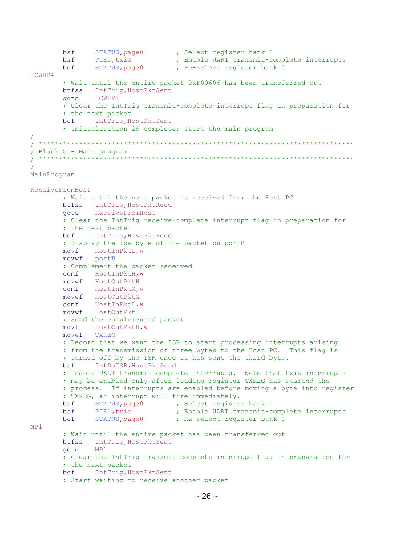```
bsf
            STATUS, page0 (b) ; Select register bank 1
            PIE1, txie
       bsf
                                ; Enable UART transmit-complete interrupts
       bcf
             STATUS, page0
                               ; Re-select register bank 0
ICWHP4
       ; Wait until the entire packet 0xF00606 has been transferred out
       btfss IntTriq, HostPktSent
       aoto
             ICWHP4
       ; Clear the IntTrig transmit-complete interrupt flag in preparation for
       ; the next packet
       bcf IntTriq, HostPktSent
       ; Initialization is complete; start the main program
\cdot; Block G - Main program
MainProgram
ReceiveFromHost
       ; Wait until the next packet is received from the Host PC
       btfss IntTrig, HostPktRecd
       goto ReceiveFromHost
       ; Clear the IntTrig receive-complete interrupt flag in preparation for
       ; the next packet
       bcf IntTrig, HostPktRecd
       ; Display the low byte of the packet on portB
       movf HostInPktL, w
       movwf portB
       ; Complement the packet received
       comf HostInPktH, w
       movwf HostOutPktH
       comf HostInPktM, w
       movwf HostOutPktM
       comf HostInPktL, w
       movwf HostOutPktL
       ; Send the complemented packet
             HostOutPktH, w
       movf
       movwf
             TXREG
       ; Record that we want the ISR to start processing interrupts arising
       ; from the transmission of three bytes to the Host PC. This flag is
       ; turned off by the ISR once it has sent the third byte.
             IntDoISR, HostPktSend
       bsf
       ; Enable UART transmit-complete interrupts. Note that txie interrupts
       ; may be enabled only after loading register TXREG has started the
       ; process. If interrupts are enabled before moving a byte into reqister
       ; TXREG, an interrupt will fire immediately.
       bsf STATUS, page0
                           ; Select register bank 1
                               ; Enable UART transmit-complete interrupts
       bsf
             PIE1, txie
       bcf
             STATUS, page0
                               ; Re-select register bank 0
MP1
       ; Wait until the entire packet has been transferred out
       btfss IntTrig, HostPktSent
       goto
             MP1; Clear the IntTriq transmit-complete interrupt flaq in preparation for
       ; the next packet
       bcf IntTriq, HostPktSent
       ; Start waiting to receive another packet
```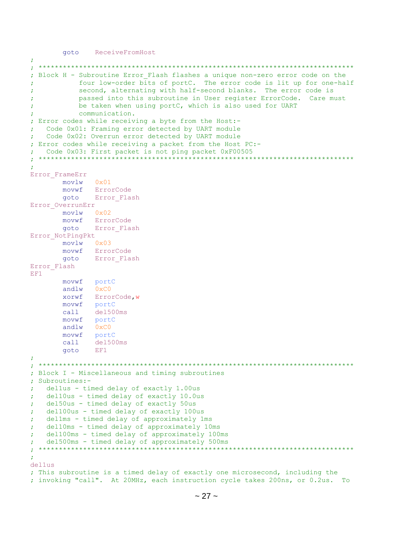goto ReceiveFromHost

```
\cdot; Block H - Subroutine Error Flash flashes a unique non-zero error code on the
          four low-order bits of portC. The error code is lit up for one-half
÷
          second, alternating with half-second blanks. The error code is
ż
          passed into this subroutine in User register ErrorCode. Care must
\cdotbe taken when using portC, which is also used for UART
          communication.
\cdot; Error codes while receiving a byte from the Host:-
\mathcal{L}Code 0x01: Framing error detected by UART module
  Code 0x02: Overrun error detected by UART module
÷
; Error codes while receiving a packet from the Host PC:-
  Code 0x03: First packet is not ping packet 0xF00505
 \cdotError FrameErr
      movlw 0x01movwf ErrorCode
      goto Error Flash
Error OverrunErr
      movlw 0x02
      movwf ErrorCode<br>goto Error Flash
Error NotPingPkt
      movlw 0x03
      movwf ErrorCode
      goto Error Flash
Error Flash
EF1
      movwf portC
      andlw 0 \times C0xorwf ErrorCode, w
      movwf portC
      call
             del500ms
      movwf portC
      andlw
             0xC0movwf portC
           del500ms
      cal1goto
           EFI; Block I - Miscellaneous and timing subroutines
\mathbf{r}Subroutines:-
   dellus - timed delay of exactly 1.00us
÷
   del10us - timed delay of exactly 10.0us
÷
  del50us - timed delay of exactly 50us
\cdotdel100us - timed delay of exactly 100us
\ddot{r}dellms - timed delay of approximately 1ms
\ddot{r}del10ms - timed delay of approximately 10ms
\ddot{r}del100ms - timed delay of approximately 100ms
÷
   del500ms - timed delay of approximately 500ms
÷
 ************************
                       ÷
÷
del1ms; This subroutine is a timed delay of exactly one microsecond, including the
; invoking "call". At 20MHz, each instruction cycle takes 200ns, or 0.2us. To
```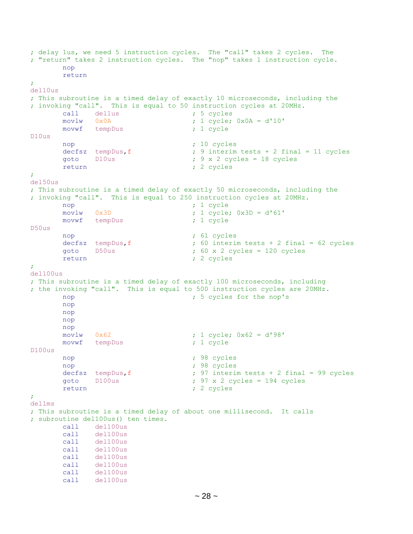```
; delay 1us, we need 5 instruction cycles. The "call" takes 2 cycles. The
; "return" takes 2 instruction cycles. The "nop" takes 1 instruction cycle.
       nop
       return
;
del10us
; This subroutine is a timed delay of exactly 10 microseconds, including the
; invoking "call". This is equal to 50 instruction cycles at 20MHz.
      call dellus ; 5 cycles
      movlw 0x0A ; 1 cycle; 0x0A = d'10' movwf tempDus ; 1 cycle
D10us
      nop ; 10 cycles
     decfsz tempDus, f ; 9 interim tests + 2 final = 11 cycles
       goto D10us ; 9 x 2 cycles = 18 cycles
      return ; 2 cycles
;
del50us
; This subroutine is a timed delay of exactly 50 microseconds, including the
; invoking "call". This is equal to 250 instruction cycles at 20MHz.
       nop ; 1 cycle
       movlw 0x3D ; 1 cycle; 0x3D = d'61'
       movwf tempDus ; 1 cycle
D50us
      nop ; 61 cycles
       decfsz tempDus,f ; 60 interim tests + 2 final = 62 cycles
       goto D50us ; 60 x 2 cycles = 120 cycles
      return ; 2 cycles
;
del100us
; This subroutine is a timed delay of exactly 100 microseconds, including
; the invoking "call". This is equal to 500 instruction cycles are 20MHz.
      nop \qquad \qquad ; 5 \text{ cycles for the nop's} nop
       nop
       nop
       nop
       movlw 0x62 ; 1 cycle; 0x62 = d'98'
     movwf tempDus ; 1 cycle
D100us
      nop ; 98 cycles
      nop ; 98 cycles
      decfsz tempDus, f \qquad ; 97 interim tests + 2 final = 99 cycles
      qoto D100us qot ; 97 x 2 cycles = 194 cycles
      return ; 2 cycles
;
del1ms
; This subroutine is a timed delay of about one millisecond. It calls
; subroutine del100us() ten times.
       call del100us
           del100us
       call del100us
       call del100us
       call del100us
       call del100us
       call del100us
       call del100us
```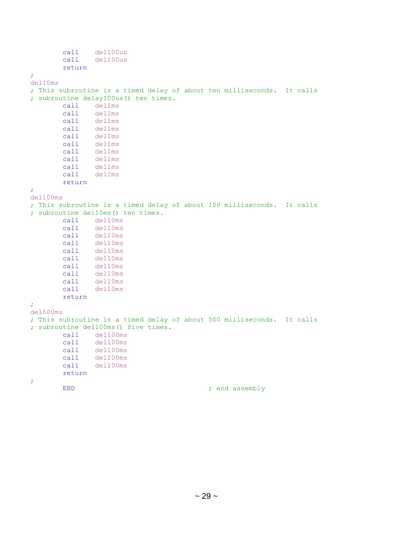```
 call del100us
        call del100us
        return
;
del10ms
; This subroutine is a timed delay of about ten milliseconds. It calls
; subroutine delay100us() ten times.
        call del1ms
       call del1ms
        call del1ms
        call del1ms
        call del1ms
       call del1ms
       call del1ms
      call del1ms<br>call del1ms
 call del1ms
 call del1ms
       return
;
del100ms
; This subroutine is a timed delay of about 100 milliseconds. It calls
; subroutine del10ms() ten times.
       call del10ms
        call del10ms
        call del10ms
       call del10ms
       call del10ms
       call del10ms
       call del10ms
        call del10ms
       call del10ms
       call del10ms
       return
;
del500ms
; This subroutine is a timed delay of about 500 milliseconds. It calls
; subroutine del100ms() five times.
        call del100ms
        call del100ms
        call del100ms
        call del100ms
       call del100ms
       return
;
      END ; end assembly
```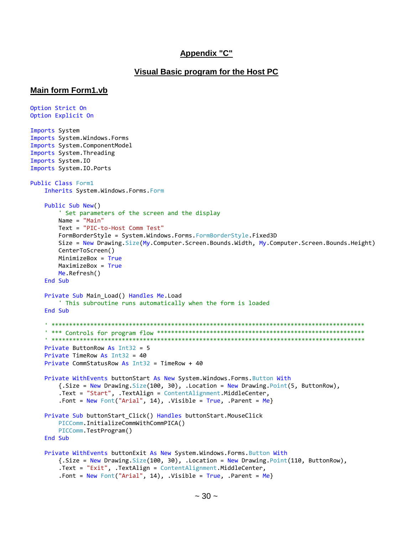#### **Appendix "C"**

#### Visual Basic program for the Host PC

#### **Main form Form1.vb**

```
Option Strict On
Option Explicit On
Imports System
Imports System.Windows.Forms
Imports System.ComponentModel
Imports System. Threading
Imports System. IO
Imports System. IO. Ports
Public Class Form1
   Inherits System.Windows.Forms.Form
   Public Sub New()
       ' Set parameters of the screen and the display
      Name = "Main"Text = "PIC-to-Host Comm Test"
      FormBorderStyle = System.Windows.Forms.FormBorderStyle.Fixed3D
      Size = New Drawing. Size(My. Computer. Screen. Bounds. Width, My. Computer. Screen. Bounds. Height)
      CenterToScreen()
      MinimizeBox = TrueMaximizeBox = TrueMe.Refresh()
   End Sub
   Private Sub Main_Load() Handles Me.Load
       ' This subroutine runs automatically when the form is loaded
   End Sub
   ' ***************
                        Private ButtonRow As Int32 = 5
   Private TimeRow As Int32 = 40
   Private CommStatusRow As Int32 = TimeRow + 40Private WithEvents buttonStart As New System.Windows.Forms.Button With
      \{ . Size = New Drawing. Size(100, 30), . Location = New Drawing. Point(5, ButtonRow),
       .Text = "Start", .TextAlign = ContentAlignment.MiddleCenter,
       . Font = New Font("Arial", 14), .Visible = True, .Parent = Me}
   Private Sub buttonStart_Click() Handles buttonStart.MouseClick
      PICComm.InitializeCommWithCommPICA()
      PICComm.TestProgram()
   End Sub
   Private WithEvents buttonExit As New System.Windows.Forms.Button With
      \{ .Size = New Drawing.Size(100, 30), .Location = New Drawing.Point(110, ButtonRow),.Text = "Exit", .TextAlign = ContentAlignment.MiddleCenter,
       . Font = New Font("Arial", 14), .Visible = True, .Parent = Me}
```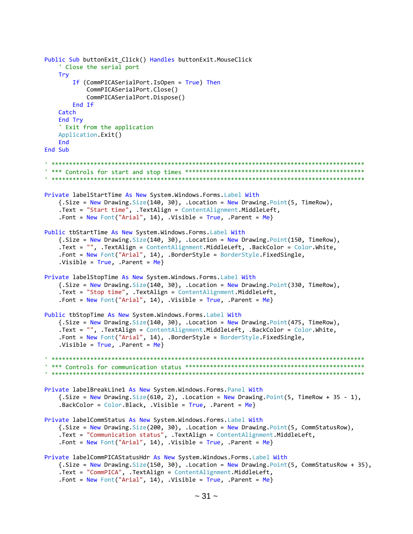```
Public Sub buttonExit Click() Handles buttonExit.MouseClick
   ' Close the serial port
   Try
      If (CommPICASerialPort.IsOpen = True) Then
         CommPICASerialPort.Close()
         CommPICASerialPort.Dispose()
      End If
   Catch
   End Try
   ' Exit from the application
   Application.Exit()
   Fnd
End Sub
Private labelStartTime As New System.Windows.Forms.Label With
   \{ .Size = New Drawing.Size(140, 30), .Location = New Drawing.Point(5, TimeRow),.Text = "Start time", .TextAlign = ContentAlignment.MiddleLeft,
   .Font = New Font("Arial", 14), .Visible = True, .Parent = Me}
Public tbStartTime As New System.Windows.Forms.Label With
   \{.Size = New Drawing.Size(140, 30), .Location = New Drawing.Point(150, TimeRow),
   .Text = "", .TextAlign = ContentAlignment.MiddleLeft, .BackColor = Color.White,
   .Font = New Font("Arial", 14), .BorderStyle = BorderStyle.FixedSingle,
   .Visible = True, .Parent = Me}
Private labelStopTime As New System.Windows.Forms.Label With
   {.Size = New Drawing.Size(140, 30), .Location = New Drawing.Point(330, TimeRow),
   .Text = "Stop time", .TextAlign = ContentAlignment.MiddleLeft,
   . Font = New Font("Arial", 14), .Visible = True, . Parent = Me}
Public tbStopTime As New System.Windows.Forms.Label With
   {.Size = New Drawing.Size(140, 30), .Location = New Drawing.Point(475, TimeRow),
   .Text = "", .TextAlign = ContentAlignment.MiddleLeft, .BackColor = Color.White,
   .Font = New Font("Arial", 14), .BorderStyle = BorderStyle.FixedSingle,
   .Visible = True, .Parent = Me}
Private labelBreakLine1 As New System.Windows.Forms.Panel With
   \{ .Size = New Drawing.Size(610, 2), .Location = New Drawing.Point(5, TimeRow + 35 - 1),.BackColor = Color.Black, .Visible = True, .Parent = MePrivate labelCommStatus As New System.Windows.Forms.Label With
   {.Size = New Drawing.Size(200, 30), .Location = New Drawing.Point(5, CommStatusRow),
   . Text = "Communication status", . TextAlign = ContentAlignment. MiddleLeft,
   .Font = New Font("Arial", 14), .Visible = True, .Parent = Me}
Private labelCommPICAStatusHdr As New System.Windows.Forms.Label With
   {.Size = New Drawing.Size(150, 30), .Location = New Drawing.Point(5, CommStatusRow + 35),
   .Text = "CommPICA", .TextAlign = ContentAlignment.MiddleLeft,
   .Font = New Font("Arial", 14), .Visible = True, .Parent = Me}
```

```
\sim 31 \sim
```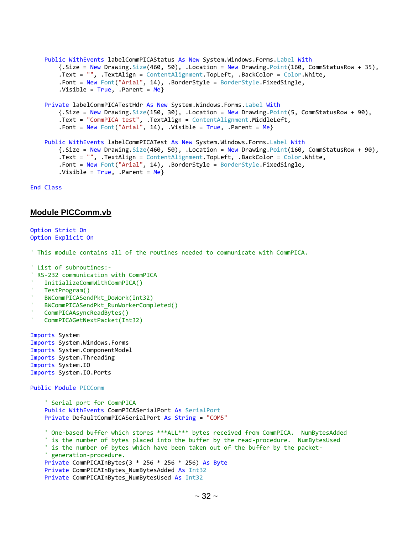```
 Public WithEvents labelCommPICAStatus As New System.Windows.Forms.Label With
     {.Size = New Drawing.Size(460, 50), .Location = New Drawing.Point(160, CommStatusRow + 35),
     .Text = "", .TextAlign = ContentAlignment.TopLeft, .BackColor = Color.White,
     .Font = New Font("Arial", 14), .BorderStyle = BorderStyle.FixedSingle,
    .Visible = True, .Parent = Me}
 Private labelCommPICATestHdr As New System.Windows.Forms.Label With
    {Size = New Drawing.Size(150, 30)}. Location = New Drawing.Point(5, CommStatusRow + 90),
     .Text = "CommPICA test", .TextAlign = ContentAlignment.MiddleLeft,
     .Font = New Font("Arial", 14), .Visible = True, .Parent = Me}
 Public WithEvents labelCommPICATest As New System.Windows.Forms.Label With
     {.Size = New Drawing.Size(460, 50), .Location = New Drawing.Point(160, CommStatusRow + 90),
     .Text = "", .TextAlign = ContentAlignment.TopLeft, .BackColor = Color.White,
    .Font = New Font("Arial", 14), .BorderStyle = BorderStyle.FixedSingle,
    .Visible = True, .Parent = Me
```
End Class

#### **Module PICComm.vb**

```
Option Strict On
Option Explicit On
```
' This module contains all of the routines needed to communicate with CommPICA.

```
' List of subroutines:-
 RS-232 communication with CommPICA
   ' InitializeCommWithCommPICA()
   ' TestProgram()
   ' BWCommPICASendPkt_DoWork(Int32)
   ' BWCommPICASendPkt_RunWorkerCompleted()
   ' CommPICAAsyncReadBytes()
   ' CommPICAGetNextPacket(Int32)
Imports System
Imports System.Windows.Forms
Imports System.ComponentModel
Imports System.Threading
Imports System.IO
Imports System.IO.Ports
Public Module PICComm
     ' Serial port for CommPICA
     Public WithEvents CommPICASerialPort As SerialPort
     Private DefaultCommPICASerialPort As String = "COM5"
     ' One-based buffer which stores ***ALL*** bytes received from CommPICA. NumBytesAdded
     ' is the number of bytes placed into the buffer by the read-procedure. NumBytesUsed
     ' is the number of bytes which have been taken out of the buffer by the packet-
     ' generation-procedure.
     Private CommPICAInBytes(3 * 256 * 256 * 256) As Byte
     Private CommPICAInBytes_NumBytesAdded As Int32
     Private CommPICAInBytes_NumBytesUsed As Int32
```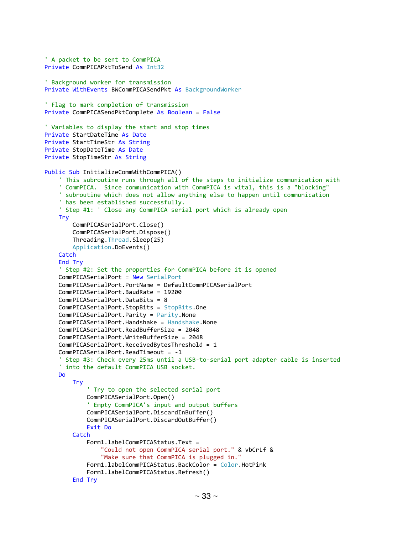```
 ' A packet to be sent to CommPICA
 Private CommPICAPktToSend As Int32
 ' Background worker for transmission
 Private WithEvents BWCommPICASendPkt As BackgroundWorker
 ' Flag to mark completion of transmission
 Private CommPICASendPktComplete As Boolean = False
 ' Variables to display the start and stop times
 Private StartDateTime As Date
 Private StartTimeStr As String
 Private StopDateTime As Date
 Private StopTimeStr As String
Public Sub InitializeCommWithCommPICA()
     ' This subroutine runs through all of the steps to initialize communication with
     ' CommPICA. Since communication with CommPICA is vital, this is a "blocking"
     ' subroutine which does not allow anything else to happen until communication
     ' has been established successfully.
     ' Step #1: ' Close any CommPICA serial port which is already open
     Try
         CommPICASerialPort.Close()
         CommPICASerialPort.Dispose()
         Threading.Thread.Sleep(25)
         Application.DoEvents()
    Catch
     End Try
     ' Step #2: Set the properties for CommPICA before it is opened
     CommPICASerialPort = New SerialPort
     CommPICASerialPort.PortName = DefaultCommPICASerialPort
     CommPICASerialPort.BaudRate = 19200
     CommPICASerialPort.DataBits = 8
     CommPICASerialPort.StopBits = StopBits.One
     CommPICASerialPort.Parity = Parity.None
     CommPICASerialPort.Handshake = Handshake.None
     CommPICASerialPort.ReadBufferSize = 2048
     CommPICASerialPort.WriteBufferSize = 2048
     CommPICASerialPort.ReceivedBytesThreshold = 1
     CommPICASerialPort.ReadTimeout = -1
       ' Step #3: Check every 25ms until a USB-to-serial port adapter cable is inserted
     into the default CommPICA USB socket.
     Do
         Try
             ' Try to open the selected serial port
             CommPICASerialPort.Open()
              ' Empty CommPICA's input and output buffers
             CommPICASerialPort.DiscardInBuffer()
             CommPICASerialPort.DiscardOutBuffer()
             Exit Do
         Catch
             Form1.labelCommPICAStatus.Text =
                 "Could not open CommPICA serial port." & vbCrLf &
                "Make sure that CommPICA is plugged in."
             Form1.labelCommPICAStatus.BackColor = Color.HotPink
             Form1.labelCommPICAStatus.Refresh()
         End Try
```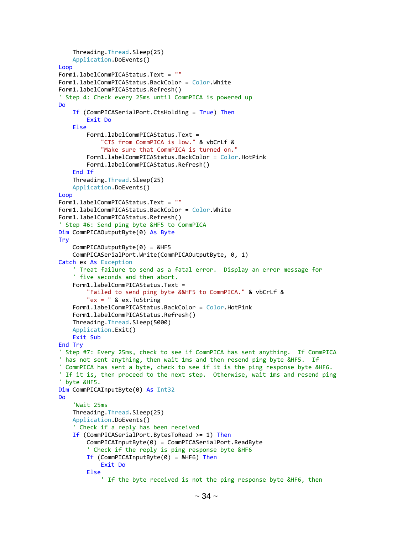```
 Threading.Thread.Sleep(25)
     Application.DoEvents()
 Loop
 Form1.labelCommPICAStatus.Text = ""
 Form1.labelCommPICAStatus.BackColor = Color.White
 Form1.labelCommPICAStatus.Refresh()
 Step 4: Check every 25ms until CommPICA is powered up
 Do
     If (CommPICASerialPort.CtsHolding = True) Then
         Exit Do
     Else
         Form1.labelCommPICAStatus.Text =
             "CTS from CommPICA is low." & vbCrLf &
            "Make sure that CommPICA is turned on."
         Form1.labelCommPICAStatus.BackColor = Color.HotPink
         Form1.labelCommPICAStatus.Refresh()
     End If
     Threading.Thread.Sleep(25)
     Application.DoEvents()
 Loop
 Form1.labelCommPICAStatus.Text = ""
 Form1.labelCommPICAStatus.BackColor = Color.White
 Form1.labelCommPICAStatus.Refresh()
 ' Step #6: Send ping byte &HF5 to CommPICA
 Dim CommPICAOutputByte(0) As Byte
 Try
    CommPICAOutputByte(0) = 8HF5 CommPICASerialPort.Write(CommPICAOutputByte, 0, 1)
 Catch ex As Exception
     ' Treat failure to send as a fatal error. Display an error message for
     ' five seconds and then abort.
     Form1.labelCommPICAStatus.Text =
         "Failed to send ping byte &&HF5 to CommPICA." & vbCrLf &
        "ex = " & ex. ToString Form1.labelCommPICAStatus.BackColor = Color.HotPink
     Form1.labelCommPICAStatus.Refresh()
     Threading.Thread.Sleep(5000)
     Application.Exit()
     Exit Sub
 End Try
 ' Step #7: Every 25ms, check to see if CommPICA has sent anything. If CommPICA
 has not sent anything, then wait 1ms and then resend ping byte &HF5. If
 ' CommPICA has sent a byte, check to see if it is the ping response byte &HF6.
 ' If it is, then proceed to the next step. Otherwise, wait 1ms and resend ping
 ' byte &HF5.
Dim CommPICAInputByte(0) As Int32
 Do
     'Wait 25ms
     Threading.Thread.Sleep(25)
     Application.DoEvents()
     ' Check if a reply has been received
     If (CommPICASerialPort.BytesToRead >= 1) Then
         CommPICAInputByte(0) = CommPICASerialPort.ReadByte
         ' Check if the reply is ping response byte &HF6
        If (CommPICAInputByte(0) = &HF6) Then
             Exit Do
         Else
              ' If the byte received is not the ping response byte &HF6, then
```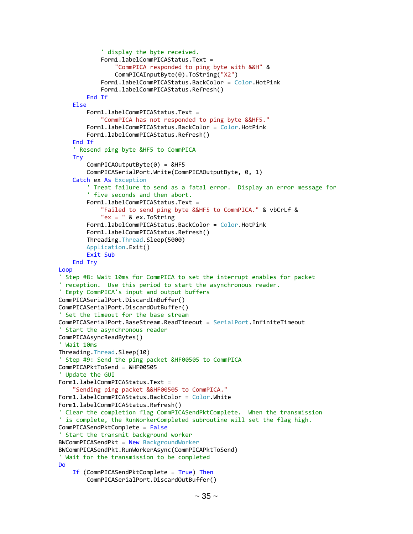```
 ' display the byte received.
            Form1.labelCommPICAStatus.Text =
                  "CommPICA responded to ping byte with &&H" &
                 CommPICAInputByte(0).ToString("X2")
             Form1.labelCommPICAStatus.BackColor = Color.HotPink
            Form1.labelCommPICAStatus.Refresh()
         End If
     Else
         Form1.labelCommPICAStatus.Text =
             "CommPICA has not responded to ping byte &&HF5."
         Form1.labelCommPICAStatus.BackColor = Color.HotPink
         Form1.labelCommPICAStatus.Refresh()
     End If
     ' Resend ping byte &HF5 to CommPICA
     Try
         CommPICAOutputByte(0) = &HF5
         CommPICASerialPort.Write(CommPICAOutputByte, 0, 1)
     Catch ex As Exception
         Treat failure to send as a fatal error. Display an error message for
         ' five seconds and then abort.
         Form1.labelCommPICAStatus.Text =
             "Failed to send ping byte &&HF5 to CommPICA." & vbCrLf &
            "ex = " & ex.ToString
         Form1.labelCommPICAStatus.BackColor = Color.HotPink
         Form1.labelCommPICAStatus.Refresh()
         Threading.Thread.Sleep(5000)
         Application.Exit()
         Exit Sub
     End Try
 Loop
 ' Step #8: Wait 10ms for CommPICA to set the interrupt enables for packet
 ' reception. Use this period to start the asynchronous reader.
 ' Empty CommPICA's input and output buffers
 CommPICASerialPort.DiscardInBuffer()
 CommPICASerialPort.DiscardOutBuffer()
 ' Set the timeout for the base stream
 CommPICASerialPort.BaseStream.ReadTimeout = SerialPort.InfiniteTimeout
 ' Start the asynchronous reader
 CommPICAAsyncReadBytes()
 ' Wait 10ms
 Threading.Thread.Sleep(10)
  Step #9: Send the ping packet &HF00505 to CommPICA
 CommPICAPktToSend = &HF00505
 Update the GUI
 Form1.labelCommPICAStatus.Text =
     "Sending ping packet &&HF00505 to CommPICA."
Form1.labelCommPICAStatus.BackColor = Color.White
 Form1.labelCommPICAStatus.Refresh()
 Clear the completion flag CommPICASendPktComplete. When the transmission
' is complete, the RunWorkerCompleted subroutine will set the flag high.
 CommPICASendPktComplete = False
 ' Start the transmit background worker
 BWCommPICASendPkt = New BackgroundWorker
 BWCommPICASendPkt.RunWorkerAsync(CommPICAPktToSend)
 ' Wait for the transmission to be completed
 Do
     If (CommPICASendPktComplete = True) Then
         CommPICASerialPort.DiscardOutBuffer()
```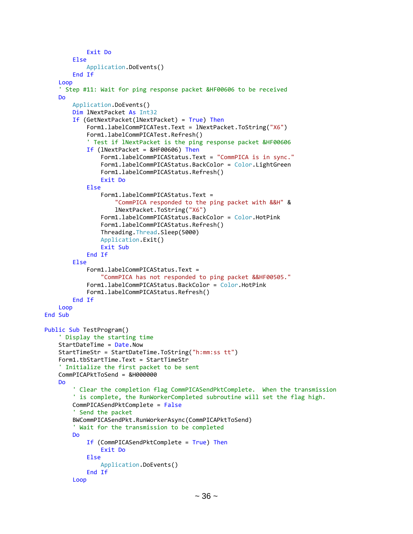```
 Exit Do
         Else
             Application.DoEvents()
         End If
     Loop
     ' Step #11: Wait for ping response packet &HF00606 to be received
     Do
         Application.DoEvents()
         Dim lNextPacket As Int32
         If (GetNextPacket(lNextPacket) = True) Then
             Form1.labelCommPICATest.Text = lNextPacket.ToString("X6")
             Form1.labelCommPICATest.Refresh()
             ' Test if lNextPacket is the ping response packet &HF00606
             If (lNextPacket = &HF00606) Then
                 Form1.labelCommPICAStatus.Text = "CommPICA is in sync."
                Form1.labelCommPICAStatus.BackColor = Color.LightGreen
                Form1.labelCommPICAStatus.Refresh()
                Exit Do
             Else
                 Form1.labelCommPICAStatus.Text =
                      "CommPICA responded to the ping packet with &&H" &
                     lNextPacket.ToString("X6")
                 Form1.labelCommPICAStatus.BackColor = Color.HotPink
                Form1.labelCommPICAStatus.Refresh()
                 Threading.Thread.Sleep(5000)
                 Application.Exit()
                Exit Sub
             End If
         Else
             Form1.labelCommPICAStatus.Text =
                 "CommPICA has not responded to ping packet &&HF00505."
             Form1.labelCommPICAStatus.BackColor = Color.HotPink
             Form1.labelCommPICAStatus.Refresh()
         End If
     Loop
 End Sub
 Public Sub TestProgram()
     ' Display the starting time
     StartDateTime = Date.Now
     StartTimeStr = StartDateTime.ToString("h:mm:ss tt")
     Form1.tbStartTime.Text = StartTimeStr
      Initialize the first packet to be sent
     CommPICAPktToSend = &H000000
     Do
         ' Clear the completion flag CommPICASendPktComplete. When the transmission
         ' is complete, the RunWorkerCompleted subroutine will set the flag high.
         CommPICASendPktComplete = False
          ' Send the packet
         BWCommPICASendPkt.RunWorkerAsync(CommPICAPktToSend)
         ' Wait for the transmission to be completed
         Do
             If (CommPICASendPktComplete = True) Then
                 Exit Do
             Else
                 Application.DoEvents()
             End If
         Loop
```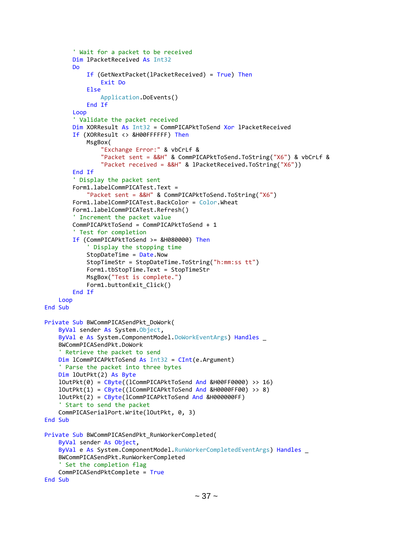```
 ' Wait for a packet to be received
         Dim lPacketReceived As Int32
         Do
             If (GetNextPacket(lPacketReceived) = True) Then
                 Exit Do
             Else
                 Application.DoEvents()
             End If
         Loop
         ' Validate the packet received
         Dim XORResult As Int32 = CommPICAPktToSend Xor lPacketReceived
         If (XORResult <> &H00FFFFFF) Then
             MsgBox(
                 "Exchange Error:" & vbCrLf &
                "Packet sent = &&H" & CommPICAPktToSend.ToString("X6") & vbCrLf &
                 "Packet received = &&H" & lPacketReceived.ToString("X6"))
         End If
         ' Display the packet sent
         Form1.labelCommPICATest.Text =
             "Packet sent = &&H" & CommPICAPktToSend.ToString("X6")
         Form1.labelCommPICATest.BackColor = Color.Wheat
         Form1.labelCommPICATest.Refresh()
         ' Increment the packet value
         CommPICAPktToSend = CommPICAPktToSend + 1
         ' Test for completion
         If (CommPICAPktToSend >= &H080000) Then
              ' Display the stopping time
             StopDateTime = Date.Now
             StopTimeStr = StopDateTime.ToString("h:mm:ss tt")
             Form1.tbStopTime.Text = StopTimeStr
             MsgBox("Test is complete.")
            Form1.buttonExit Click()
         End If
     Loop
 End Sub
 Private Sub BWCommPICASendPkt_DoWork(
     ByVal sender As System.Object,
     ByVal e As System.ComponentModel.DoWorkEventArgs) Handles _
     BWCommPICASendPkt.DoWork
     ' Retrieve the packet to send
     Dim lCommPICAPktToSend As Int32 = CInt(e.Argument)
     ' Parse the packet into three bytes
     Dim lOutPkt(2) As Byte
    lOutputPkt(0) = CByte((lCommPICAPkttToSend And 8H00FF0000) >> 16)lOutput(1) = CByte((lCommPICAPkttOSend And 8H0000FF00) >> 8) lOutPkt(2) = CByte(lCommPICAPktToSend And &H000000FF)
     ' Start to send the packet
     CommPICASerialPort.Write(lOutPkt, 0, 3)
 End Sub
 Private Sub BWCommPICASendPkt_RunWorkerCompleted(
     ByVal sender As Object,
     ByVal e As System.ComponentModel.RunWorkerCompletedEventArgs) Handles _
     BWCommPICASendPkt.RunWorkerCompleted
     ' Set the completion flag
     CommPICASendPktComplete = True
 End Sub
```